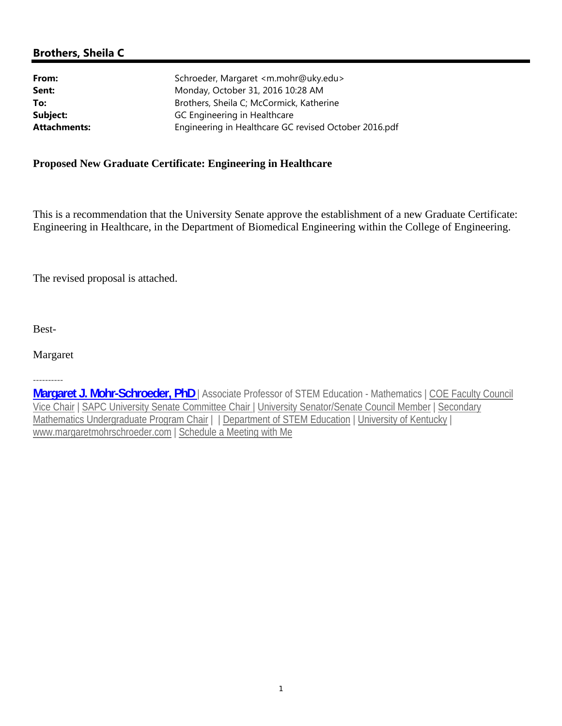# **Brothers, Sheila C**

| Schroeder, Margaret <m.mohr@uky.edu></m.mohr@uky.edu> |
|-------------------------------------------------------|
| Monday, October 31, 2016 10:28 AM                     |
| Brothers, Sheila C; McCormick, Katherine              |
| GC Engineering in Healthcare                          |
| Engineering in Healthcare GC revised October 2016.pdf |
|                                                       |

# **Proposed New Graduate Certificate: Engineering in Healthcare**

This is a recommendation that the University Senate approve the establishment of a new Graduate Certificate: Engineering in Healthcare, in the Department of Biomedical Engineering within the College of Engineering.

The revised proposal is attached.

Best-

Margaret

----------

**Margaret J. Mohr-Schroeder, PhD** | Associate Professor of STEM Education - Mathematics | COE Faculty Council Vice Chair | SAPC University Senate Committee Chair | University Senator/Senate Council Member | Secondary Mathematics Undergraduate Program Chair | | Department of STEM Education | University of Kentucky | www.margaretmohrschroeder.com | Schedule a Meeting with Me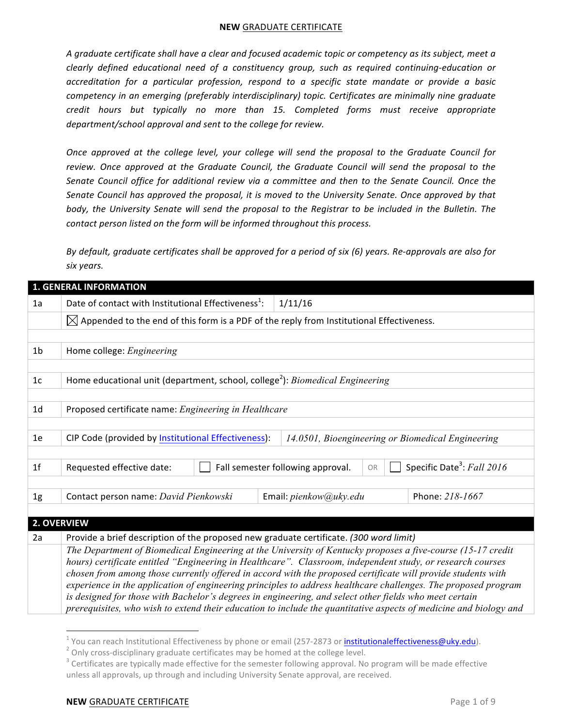A graduate certificate shall have a clear and focused academic topic or competency as its subject, meet a *clearly defined educational need of a constituency group, such as required continuing-education or accreditation for a particular profession, respond to a specific state mandate or provide a basic competency in an emerging (preferably interdisciplinary) topic. Certificates are minimally nine graduate credit hours but typically no more than 15. Completed forms must receive appropriate*  department/school approval and sent to the college for review.

*Once approved at the college level, your college will send the proposal to the Graduate Council for* review. Once approved at the Graduate Council, the Graduate Council will send the proposal to the Senate Council office for additional review via a committee and then to the Senate Council. Once the Senate Council has approved the proposal, it is moved to the University Senate. Once approved by that body, the University Senate will send the proposal to the Registrar to be included in the Bulletin. The *contact person listed on the form will be informed throughout this process.* 

*By default, graduate certificates shall be approved for a period of six (6) years. Re-approvals are also for six years.*

|                | <b>1. GENERAL INFORMATION</b>                                                                        |                                                                                                                                                                                                                                |  |  |  |  |
|----------------|------------------------------------------------------------------------------------------------------|--------------------------------------------------------------------------------------------------------------------------------------------------------------------------------------------------------------------------------|--|--|--|--|
| 1a             | Date of contact with Institutional Effectiveness <sup>1</sup> :                                      | 1/11/16                                                                                                                                                                                                                        |  |  |  |  |
|                | $\boxtimes$ Appended to the end of this form is a PDF of the reply from Institutional Effectiveness. |                                                                                                                                                                                                                                |  |  |  |  |
|                |                                                                                                      |                                                                                                                                                                                                                                |  |  |  |  |
| 1 <sub>b</sub> | Home college: Engineering                                                                            |                                                                                                                                                                                                                                |  |  |  |  |
|                |                                                                                                      |                                                                                                                                                                                                                                |  |  |  |  |
| 1 <sub>c</sub> | Home educational unit (department, school, college <sup>2</sup> ): <i>Biomedical Engineering</i>     |                                                                                                                                                                                                                                |  |  |  |  |
|                |                                                                                                      |                                                                                                                                                                                                                                |  |  |  |  |
| 1 <sub>d</sub> | Proposed certificate name: Engineering in Healthcare                                                 |                                                                                                                                                                                                                                |  |  |  |  |
|                |                                                                                                      |                                                                                                                                                                                                                                |  |  |  |  |
| 1e             | CIP Code (provided by Institutional Effectiveness):                                                  | 14.0501, Bioengineering or Biomedical Engineering                                                                                                                                                                              |  |  |  |  |
|                |                                                                                                      |                                                                                                                                                                                                                                |  |  |  |  |
| 1 <sup>f</sup> | Requested effective date:                                                                            | Specific Date <sup>3</sup> : Fall 2016<br>Fall semester following approval.<br>OR                                                                                                                                              |  |  |  |  |
|                |                                                                                                      |                                                                                                                                                                                                                                |  |  |  |  |
| 1g             | Contact person name: David Pienkowski                                                                | Phone: 218-1667<br>Email: pienkow@uky.edu                                                                                                                                                                                      |  |  |  |  |
|                |                                                                                                      |                                                                                                                                                                                                                                |  |  |  |  |
|                | 2. OVERVIEW                                                                                          |                                                                                                                                                                                                                                |  |  |  |  |
| 2a             | Provide a brief description of the proposed new graduate certificate. (300 word limit)               |                                                                                                                                                                                                                                |  |  |  |  |
|                |                                                                                                      | The Department of Biomedical Engineering at the University of Kentucky proposes a five-course (15-17 credit                                                                                                                    |  |  |  |  |
|                |                                                                                                      | hours) certificate entitled "Engineering in Healthcare". Classroom, independent study, or research courses                                                                                                                     |  |  |  |  |
|                |                                                                                                      | chosen from among those currently offered in accord with the proposed certificate will provide students with<br>experience in the application of engineering principles to address healthcare challenges. The proposed program |  |  |  |  |
|                |                                                                                                      | is designed for those with Bachelor's degrees in engineering, and select other fields who meet certain                                                                                                                         |  |  |  |  |

*prerequisites, who wish to extend their education to include the quantitative aspects of medicine and biology and* 

<u> Andrew Maria (1989)</u>

<sup>&</sup>lt;sup>1</sup> You can reach Institutional Effectiveness by phone or email (257-2873 or <u>institutionaleffectiveness@uky.edu</u>).<br><sup>2</sup> Only cross-disciplinary graduate certificates may be homed at the college level.<br><sup>3</sup> Certificates are unless all approvals, up through and including University Senate approval, are received.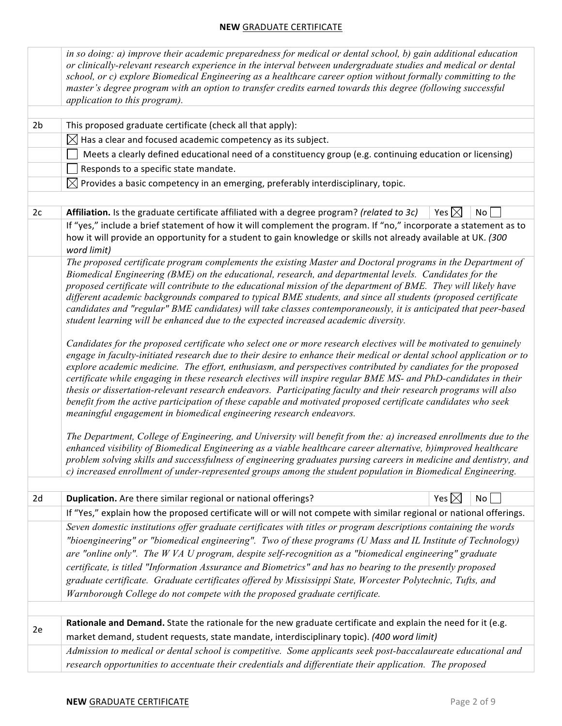|                | in so doing: a) improve their academic preparedness for medical or dental school, b) gain additional education<br>or clinically-relevant research experience in the interval between undergraduate studies and medical or dental<br>school, or c) explore Biomedical Engineering as a healthcare career option without formally committing to the<br>master's degree program with an option to transfer credits earned towards this degree (following successful<br>application to this program).                                                                                                                                                                                                                                                                                                                                                                                                                                                                                                                                                                                                                                                                                                                                                                                                                                                                                       |                 |                 |  |  |  |  |  |
|----------------|-----------------------------------------------------------------------------------------------------------------------------------------------------------------------------------------------------------------------------------------------------------------------------------------------------------------------------------------------------------------------------------------------------------------------------------------------------------------------------------------------------------------------------------------------------------------------------------------------------------------------------------------------------------------------------------------------------------------------------------------------------------------------------------------------------------------------------------------------------------------------------------------------------------------------------------------------------------------------------------------------------------------------------------------------------------------------------------------------------------------------------------------------------------------------------------------------------------------------------------------------------------------------------------------------------------------------------------------------------------------------------------------|-----------------|-----------------|--|--|--|--|--|
|                |                                                                                                                                                                                                                                                                                                                                                                                                                                                                                                                                                                                                                                                                                                                                                                                                                                                                                                                                                                                                                                                                                                                                                                                                                                                                                                                                                                                         |                 |                 |  |  |  |  |  |
| 2 <sub>b</sub> | This proposed graduate certificate (check all that apply):                                                                                                                                                                                                                                                                                                                                                                                                                                                                                                                                                                                                                                                                                                                                                                                                                                                                                                                                                                                                                                                                                                                                                                                                                                                                                                                              |                 |                 |  |  |  |  |  |
|                | $\boxtimes$ Has a clear and focused academic competency as its subject.                                                                                                                                                                                                                                                                                                                                                                                                                                                                                                                                                                                                                                                                                                                                                                                                                                                                                                                                                                                                                                                                                                                                                                                                                                                                                                                 |                 |                 |  |  |  |  |  |
|                | Meets a clearly defined educational need of a constituency group (e.g. continuing education or licensing)                                                                                                                                                                                                                                                                                                                                                                                                                                                                                                                                                                                                                                                                                                                                                                                                                                                                                                                                                                                                                                                                                                                                                                                                                                                                               |                 |                 |  |  |  |  |  |
|                | Responds to a specific state mandate.                                                                                                                                                                                                                                                                                                                                                                                                                                                                                                                                                                                                                                                                                                                                                                                                                                                                                                                                                                                                                                                                                                                                                                                                                                                                                                                                                   |                 |                 |  |  |  |  |  |
|                | $\boxtimes$ Provides a basic competency in an emerging, preferably interdisciplinary, topic.                                                                                                                                                                                                                                                                                                                                                                                                                                                                                                                                                                                                                                                                                                                                                                                                                                                                                                                                                                                                                                                                                                                                                                                                                                                                                            |                 |                 |  |  |  |  |  |
|                |                                                                                                                                                                                                                                                                                                                                                                                                                                                                                                                                                                                                                                                                                                                                                                                                                                                                                                                                                                                                                                                                                                                                                                                                                                                                                                                                                                                         |                 |                 |  |  |  |  |  |
| 2c             | Affiliation. Is the graduate certificate affiliated with a degree program? (related to 3c)                                                                                                                                                                                                                                                                                                                                                                                                                                                                                                                                                                                                                                                                                                                                                                                                                                                                                                                                                                                                                                                                                                                                                                                                                                                                                              | Yes $\boxtimes$ | No <sub>1</sub> |  |  |  |  |  |
|                | If "yes," include a brief statement of how it will complement the program. If "no," incorporate a statement as to                                                                                                                                                                                                                                                                                                                                                                                                                                                                                                                                                                                                                                                                                                                                                                                                                                                                                                                                                                                                                                                                                                                                                                                                                                                                       |                 |                 |  |  |  |  |  |
|                | how it will provide an opportunity for a student to gain knowledge or skills not already available at UK. (300<br>word limit)                                                                                                                                                                                                                                                                                                                                                                                                                                                                                                                                                                                                                                                                                                                                                                                                                                                                                                                                                                                                                                                                                                                                                                                                                                                           |                 |                 |  |  |  |  |  |
|                | The proposed certificate program complements the existing Master and Doctoral programs in the Department of<br>Biomedical Engineering (BME) on the educational, research, and departmental levels. Candidates for the<br>proposed certificate will contribute to the educational mission of the department of BME. They will likely have<br>different academic backgrounds compared to typical BME students, and since all students (proposed certificate<br>candidates and "regular" BME candidates) will take classes contemporaneously, it is anticipated that peer-based<br>student learning will be enhanced due to the expected increased academic diversity.<br>Candidates for the proposed certificate who select one or more research electives will be motivated to genuinely<br>engage in faculty-initiated research due to their desire to enhance their medical or dental school application or to<br>explore academic medicine. The effort, enthusiasm, and perspectives contributed by candiates for the proposed<br>certificate while engaging in these research electives will inspire regular BME MS- and PhD-candidates in their<br>thesis or dissertation-relevant research endeavors. Participating faculty and their research programs will also<br>benefit from the active participation of these capable and motivated proposed certificate candidates who seek |                 |                 |  |  |  |  |  |
|                | meaningful engagement in biomedical engineering research endeavors.<br>The Department, College of Engineering, and University will benefit from the: a) increased enrollments due to the<br>enhanced visibility of Biomedical Engineering as a viable healthcare career alternative, b)improved healthcare<br>problem solving skills and successfulness of engineering graduates pursing careers in medicine and dentistry, and<br>c) increased enrollment of under-represented groups among the student population in Biomedical Engineering.                                                                                                                                                                                                                                                                                                                                                                                                                                                                                                                                                                                                                                                                                                                                                                                                                                          |                 |                 |  |  |  |  |  |
|                |                                                                                                                                                                                                                                                                                                                                                                                                                                                                                                                                                                                                                                                                                                                                                                                                                                                                                                                                                                                                                                                                                                                                                                                                                                                                                                                                                                                         |                 |                 |  |  |  |  |  |
| 2d             | Duplication. Are there similar regional or national offerings?                                                                                                                                                                                                                                                                                                                                                                                                                                                                                                                                                                                                                                                                                                                                                                                                                                                                                                                                                                                                                                                                                                                                                                                                                                                                                                                          | Yes $\boxtimes$ | No <sub>1</sub> |  |  |  |  |  |
|                | If "Yes," explain how the proposed certificate will or will not compete with similar regional or national offerings.                                                                                                                                                                                                                                                                                                                                                                                                                                                                                                                                                                                                                                                                                                                                                                                                                                                                                                                                                                                                                                                                                                                                                                                                                                                                    |                 |                 |  |  |  |  |  |
|                | Seven domestic institutions offer graduate certificates with titles or program descriptions containing the words                                                                                                                                                                                                                                                                                                                                                                                                                                                                                                                                                                                                                                                                                                                                                                                                                                                                                                                                                                                                                                                                                                                                                                                                                                                                        |                 |                 |  |  |  |  |  |
|                | "bioengineering" or "biomedical engineering". Two of these programs (U Mass and IL Institute of Technology)<br>are "online only". The W VA U program, despite self-recognition as a "biomedical engineering" graduate                                                                                                                                                                                                                                                                                                                                                                                                                                                                                                                                                                                                                                                                                                                                                                                                                                                                                                                                                                                                                                                                                                                                                                   |                 |                 |  |  |  |  |  |
|                | certificate, is titled "Information Assurance and Biometrics" and has no bearing to the presently proposed                                                                                                                                                                                                                                                                                                                                                                                                                                                                                                                                                                                                                                                                                                                                                                                                                                                                                                                                                                                                                                                                                                                                                                                                                                                                              |                 |                 |  |  |  |  |  |
|                | graduate certificate. Graduate certificates offered by Mississippi State, Worcester Polytechnic, Tufts, and                                                                                                                                                                                                                                                                                                                                                                                                                                                                                                                                                                                                                                                                                                                                                                                                                                                                                                                                                                                                                                                                                                                                                                                                                                                                             |                 |                 |  |  |  |  |  |
|                | Warnborough College do not compete with the proposed graduate certificate.                                                                                                                                                                                                                                                                                                                                                                                                                                                                                                                                                                                                                                                                                                                                                                                                                                                                                                                                                                                                                                                                                                                                                                                                                                                                                                              |                 |                 |  |  |  |  |  |
|                |                                                                                                                                                                                                                                                                                                                                                                                                                                                                                                                                                                                                                                                                                                                                                                                                                                                                                                                                                                                                                                                                                                                                                                                                                                                                                                                                                                                         |                 |                 |  |  |  |  |  |
|                | Rationale and Demand. State the rationale for the new graduate certificate and explain the need for it (e.g.                                                                                                                                                                                                                                                                                                                                                                                                                                                                                                                                                                                                                                                                                                                                                                                                                                                                                                                                                                                                                                                                                                                                                                                                                                                                            |                 |                 |  |  |  |  |  |
| 2e             | market demand, student requests, state mandate, interdisciplinary topic). (400 word limit)                                                                                                                                                                                                                                                                                                                                                                                                                                                                                                                                                                                                                                                                                                                                                                                                                                                                                                                                                                                                                                                                                                                                                                                                                                                                                              |                 |                 |  |  |  |  |  |
|                | Admission to medical or dental school is competitive. Some applicants seek post-baccalaureate educational and                                                                                                                                                                                                                                                                                                                                                                                                                                                                                                                                                                                                                                                                                                                                                                                                                                                                                                                                                                                                                                                                                                                                                                                                                                                                           |                 |                 |  |  |  |  |  |
|                | research opportunities to accentuate their credentials and differentiate their application. The proposed                                                                                                                                                                                                                                                                                                                                                                                                                                                                                                                                                                                                                                                                                                                                                                                                                                                                                                                                                                                                                                                                                                                                                                                                                                                                                |                 |                 |  |  |  |  |  |
|                |                                                                                                                                                                                                                                                                                                                                                                                                                                                                                                                                                                                                                                                                                                                                                                                                                                                                                                                                                                                                                                                                                                                                                                                                                                                                                                                                                                                         |                 |                 |  |  |  |  |  |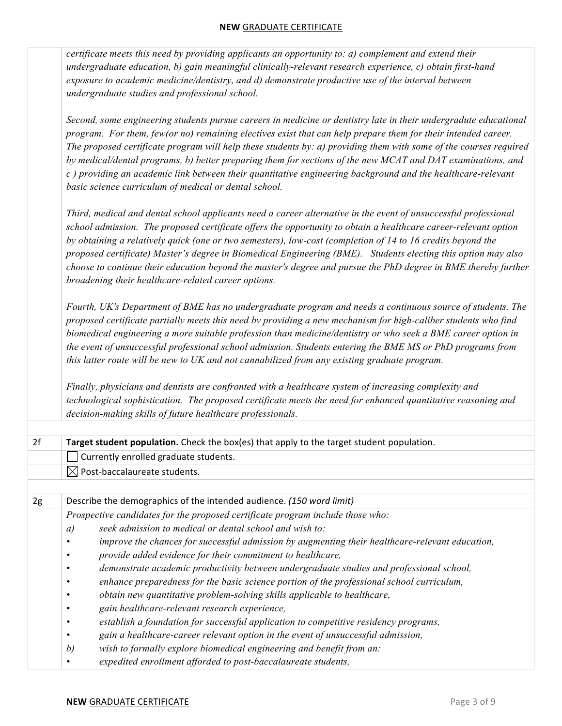|                                                                                                                                                                                                                                                                                                                                                                                                                                                                                                                                                                                                                                               | certificate meets this need by providing applicants an opportunity to: a) complement and extend their<br>undergraduate education, b) gain meaningful clinically-relevant research experience, c) obtain first-hand<br>exposure to academic medicine/dentistry, and d) demonstrate productive use of the interval between<br>undergraduate studies and professional school.                                                                                                                                                                                                                                                                  |  |  |  |  |  |  |
|-----------------------------------------------------------------------------------------------------------------------------------------------------------------------------------------------------------------------------------------------------------------------------------------------------------------------------------------------------------------------------------------------------------------------------------------------------------------------------------------------------------------------------------------------------------------------------------------------------------------------------------------------|---------------------------------------------------------------------------------------------------------------------------------------------------------------------------------------------------------------------------------------------------------------------------------------------------------------------------------------------------------------------------------------------------------------------------------------------------------------------------------------------------------------------------------------------------------------------------------------------------------------------------------------------|--|--|--|--|--|--|
| Second, some engineering students pursue careers in medicine or dentistry late in their undergradute educational<br>program. For them, few(or no) remaining electives exist that can help prepare them for their intended career.<br>The proposed certificate program will help these students by: a) providing them with some of the courses required<br>by medical/dental programs, b) better preparing them for sections of the new MCAT and DAT examinations, and<br>c) providing an academic link between their quantitative engineering background and the healthcare-relevant<br>basic science curriculum of medical or dental school. |                                                                                                                                                                                                                                                                                                                                                                                                                                                                                                                                                                                                                                             |  |  |  |  |  |  |
|                                                                                                                                                                                                                                                                                                                                                                                                                                                                                                                                                                                                                                               | Third, medical and dental school applicants need a career alternative in the event of unsuccessful professional<br>school admission. The proposed certificate offers the opportunity to obtain a healthcare career-relevant option<br>by obtaining a relatively quick (one or two semesters), low-cost (completion of 14 to 16 credits beyond the<br>proposed certificate) Master's degree in Biomedical Engineering (BME). Students electing this option may also<br>choose to continue their education beyond the master's degree and pursue the PhD degree in BME thereby further<br>broadening their healthcare-related career options. |  |  |  |  |  |  |
|                                                                                                                                                                                                                                                                                                                                                                                                                                                                                                                                                                                                                                               | Fourth, UK's Department of BME has no undergraduate program and needs a continuous source of students. The<br>proposed certificate partially meets this need by providing a new mechanism for high-caliber students who find<br>biomedical engineering a more suitable profession than medicine/dentistry or who seek a BME career option in<br>the event of unsuccessful professional school admission. Students entering the BME MS or PhD programs from<br>this latter route will be new to UK and not cannabilized from any existing graduate program.                                                                                  |  |  |  |  |  |  |
|                                                                                                                                                                                                                                                                                                                                                                                                                                                                                                                                                                                                                                               | Finally, physicians and dentists are confronted with a healthcare system of increasing complexity and<br>technological sophistication. The proposed certificate meets the need for enhanced quantitative reasoning and<br>decision-making skills of future healthcare professionals.                                                                                                                                                                                                                                                                                                                                                        |  |  |  |  |  |  |
|                                                                                                                                                                                                                                                                                                                                                                                                                                                                                                                                                                                                                                               |                                                                                                                                                                                                                                                                                                                                                                                                                                                                                                                                                                                                                                             |  |  |  |  |  |  |
| 2f                                                                                                                                                                                                                                                                                                                                                                                                                                                                                                                                                                                                                                            | Target student population. Check the box(es) that apply to the target student population.                                                                                                                                                                                                                                                                                                                                                                                                                                                                                                                                                   |  |  |  |  |  |  |
|                                                                                                                                                                                                                                                                                                                                                                                                                                                                                                                                                                                                                                               | Currently enrolled graduate students.                                                                                                                                                                                                                                                                                                                                                                                                                                                                                                                                                                                                       |  |  |  |  |  |  |
|                                                                                                                                                                                                                                                                                                                                                                                                                                                                                                                                                                                                                                               | $\boxtimes$ Post-baccalaureate students.                                                                                                                                                                                                                                                                                                                                                                                                                                                                                                                                                                                                    |  |  |  |  |  |  |
| 2g                                                                                                                                                                                                                                                                                                                                                                                                                                                                                                                                                                                                                                            | Describe the demographics of the intended audience. (150 word limit)                                                                                                                                                                                                                                                                                                                                                                                                                                                                                                                                                                        |  |  |  |  |  |  |
|                                                                                                                                                                                                                                                                                                                                                                                                                                                                                                                                                                                                                                               | Prospective candidates for the proposed certificate program include those who:                                                                                                                                                                                                                                                                                                                                                                                                                                                                                                                                                              |  |  |  |  |  |  |
|                                                                                                                                                                                                                                                                                                                                                                                                                                                                                                                                                                                                                                               | seek admission to medical or dental school and wish to:<br>a)                                                                                                                                                                                                                                                                                                                                                                                                                                                                                                                                                                               |  |  |  |  |  |  |
|                                                                                                                                                                                                                                                                                                                                                                                                                                                                                                                                                                                                                                               | improve the chances for successful admission by augmenting their healthcare-relevant education,<br>$\bullet$                                                                                                                                                                                                                                                                                                                                                                                                                                                                                                                                |  |  |  |  |  |  |
|                                                                                                                                                                                                                                                                                                                                                                                                                                                                                                                                                                                                                                               | provide added evidence for their commitment to healthcare,<br>$\bullet$                                                                                                                                                                                                                                                                                                                                                                                                                                                                                                                                                                     |  |  |  |  |  |  |
|                                                                                                                                                                                                                                                                                                                                                                                                                                                                                                                                                                                                                                               | demonstrate academic productivity between undergraduate studies and professional school,                                                                                                                                                                                                                                                                                                                                                                                                                                                                                                                                                    |  |  |  |  |  |  |
|                                                                                                                                                                                                                                                                                                                                                                                                                                                                                                                                                                                                                                               | enhance preparedness for the basic science portion of the professional school curriculum,                                                                                                                                                                                                                                                                                                                                                                                                                                                                                                                                                   |  |  |  |  |  |  |
|                                                                                                                                                                                                                                                                                                                                                                                                                                                                                                                                                                                                                                               | obtain new quantitative problem-solving skills applicable to healthcare,                                                                                                                                                                                                                                                                                                                                                                                                                                                                                                                                                                    |  |  |  |  |  |  |
|                                                                                                                                                                                                                                                                                                                                                                                                                                                                                                                                                                                                                                               | gain healthcare-relevant research experience,<br>establish a foundation for successful application to competitive residency programs,                                                                                                                                                                                                                                                                                                                                                                                                                                                                                                       |  |  |  |  |  |  |
|                                                                                                                                                                                                                                                                                                                                                                                                                                                                                                                                                                                                                                               | gain a healthcare-career relevant option in the event of unsuccessful admission,                                                                                                                                                                                                                                                                                                                                                                                                                                                                                                                                                            |  |  |  |  |  |  |
|                                                                                                                                                                                                                                                                                                                                                                                                                                                                                                                                                                                                                                               | wish to formally explore biomedical engineering and benefit from an:<br>b)                                                                                                                                                                                                                                                                                                                                                                                                                                                                                                                                                                  |  |  |  |  |  |  |
|                                                                                                                                                                                                                                                                                                                                                                                                                                                                                                                                                                                                                                               | expedited enrollment afforded to post-baccalaureate students,                                                                                                                                                                                                                                                                                                                                                                                                                                                                                                                                                                               |  |  |  |  |  |  |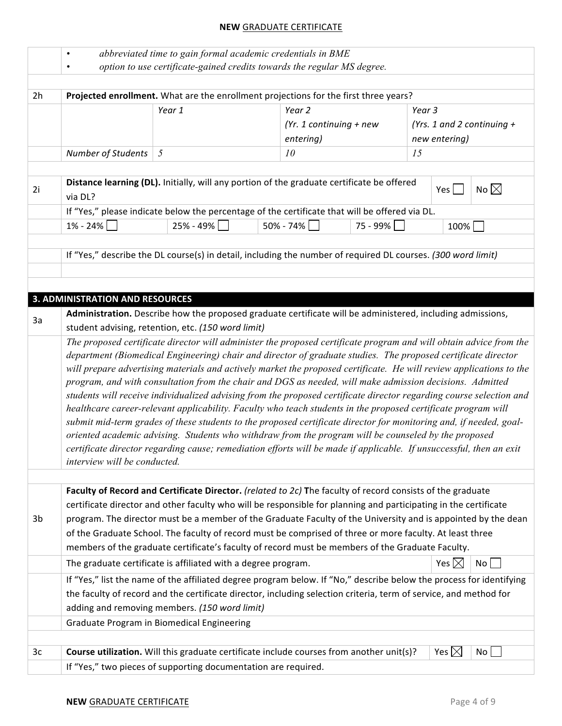|    | abbreviated time to gain formal academic credentials in BME<br>$\bullet$<br>option to use certificate-gained credits towards the regular MS degree.<br>$\bullet$ |                                                                                                                     |  |                           |          |        |                 |                              |
|----|------------------------------------------------------------------------------------------------------------------------------------------------------------------|---------------------------------------------------------------------------------------------------------------------|--|---------------------------|----------|--------|-----------------|------------------------------|
|    |                                                                                                                                                                  |                                                                                                                     |  |                           |          |        |                 |                              |
| 2h | Projected enrollment. What are the enrollment projections for the first three years?                                                                             |                                                                                                                     |  |                           |          |        |                 |                              |
|    |                                                                                                                                                                  | Year 1                                                                                                              |  | Year 2                    |          | Year 3 |                 |                              |
|    |                                                                                                                                                                  |                                                                                                                     |  | $(Yr. 1$ continuing + new |          |        |                 | (Yrs. 1 and 2 continuing $+$ |
|    |                                                                                                                                                                  |                                                                                                                     |  | entering)                 |          |        | new entering)   |                              |
|    | <b>Number of Students</b>                                                                                                                                        | 5                                                                                                                   |  | 10                        |          | 15     |                 |                              |
|    |                                                                                                                                                                  |                                                                                                                     |  |                           |          |        |                 |                              |
| 2i | via DL?                                                                                                                                                          | Distance learning (DL). Initially, will any portion of the graduate certificate be offered                          |  |                           |          |        | Yes $\lceil$    | No $\boxtimes$               |
|    |                                                                                                                                                                  | If "Yes," please indicate below the percentage of the certificate that will be offered via DL.                      |  |                           |          |        |                 |                              |
|    | $1\% - 24\%$                                                                                                                                                     | 25% - 49%                                                                                                           |  | 50% - 74%                 | 75 - 99% |        | 100%            |                              |
|    |                                                                                                                                                                  |                                                                                                                     |  |                           |          |        |                 |                              |
|    |                                                                                                                                                                  | If "Yes," describe the DL course(s) in detail, including the number of required DL courses. (300 word limit)        |  |                           |          |        |                 |                              |
|    |                                                                                                                                                                  |                                                                                                                     |  |                           |          |        |                 |                              |
|    |                                                                                                                                                                  |                                                                                                                     |  |                           |          |        |                 |                              |
|    | <b>3. ADMINISTRATION AND RESOURCES</b>                                                                                                                           |                                                                                                                     |  |                           |          |        |                 |                              |
|    |                                                                                                                                                                  | Administration. Describe how the proposed graduate certificate will be administered, including admissions,          |  |                           |          |        |                 |                              |
| 3a |                                                                                                                                                                  | student advising, retention, etc. (150 word limit)                                                                  |  |                           |          |        |                 |                              |
|    |                                                                                                                                                                  | The proposed certificate director will administer the proposed certificate program and will obtain advice from the  |  |                           |          |        |                 |                              |
|    |                                                                                                                                                                  | department (Biomedical Engineering) chair and director of graduate studies. The proposed certificate director       |  |                           |          |        |                 |                              |
|    |                                                                                                                                                                  | will prepare advertising materials and actively market the proposed certificate. He will review applications to the |  |                           |          |        |                 |                              |
|    |                                                                                                                                                                  | program, and with consultation from the chair and DGS as needed, will make admission decisions. Admitted            |  |                           |          |        |                 |                              |
|    |                                                                                                                                                                  | students will receive individualized advising from the proposed certificate director regarding course selection and |  |                           |          |        |                 |                              |
|    |                                                                                                                                                                  | healthcare career-relevant applicability. Faculty who teach students in the proposed certificate program will       |  |                           |          |        |                 |                              |
|    |                                                                                                                                                                  | submit mid-term grades of these students to the proposed certificate director for monitoring and, if needed, goal-  |  |                           |          |        |                 |                              |
|    |                                                                                                                                                                  | oriented academic advising. Students who withdraw from the program will be counseled by the proposed                |  |                           |          |        |                 |                              |
|    |                                                                                                                                                                  | certificate director regarding cause; remediation efforts will be made if applicable. If unsuccessful, then an exit |  |                           |          |        |                 |                              |
|    | interview will be conducted.                                                                                                                                     |                                                                                                                     |  |                           |          |        |                 |                              |
|    |                                                                                                                                                                  |                                                                                                                     |  |                           |          |        |                 |                              |
|    |                                                                                                                                                                  | Faculty of Record and Certificate Director. (related to 2c) The faculty of record consists of the graduate          |  |                           |          |        |                 |                              |
|    |                                                                                                                                                                  | certificate director and other faculty who will be responsible for planning and participating in the certificate    |  |                           |          |        |                 |                              |
| 3b |                                                                                                                                                                  | program. The director must be a member of the Graduate Faculty of the University and is appointed by the dean       |  |                           |          |        |                 |                              |
|    |                                                                                                                                                                  | of the Graduate School. The faculty of record must be comprised of three or more faculty. At least three            |  |                           |          |        |                 |                              |
|    |                                                                                                                                                                  | members of the graduate certificate's faculty of record must be members of the Graduate Faculty.                    |  |                           |          |        |                 |                              |
|    |                                                                                                                                                                  | The graduate certificate is affiliated with a degree program.                                                       |  |                           |          |        | Yes $\boxtimes$ | No                           |
|    |                                                                                                                                                                  | If "Yes," list the name of the affiliated degree program below. If "No," describe below the process for identifying |  |                           |          |        |                 |                              |
|    |                                                                                                                                                                  | the faculty of record and the certificate director, including selection criteria, term of service, and method for   |  |                           |          |        |                 |                              |
|    |                                                                                                                                                                  | adding and removing members. (150 word limit)                                                                       |  |                           |          |        |                 |                              |
|    |                                                                                                                                                                  | Graduate Program in Biomedical Engineering                                                                          |  |                           |          |        |                 |                              |
|    |                                                                                                                                                                  |                                                                                                                     |  |                           |          |        |                 |                              |
| 3c |                                                                                                                                                                  | Course utilization. Will this graduate certificate include courses from another unit(s)?                            |  |                           |          |        | Yes $\boxtimes$ | No                           |
|    |                                                                                                                                                                  | If "Yes," two pieces of supporting documentation are required.                                                      |  |                           |          |        |                 |                              |
|    |                                                                                                                                                                  |                                                                                                                     |  |                           |          |        |                 |                              |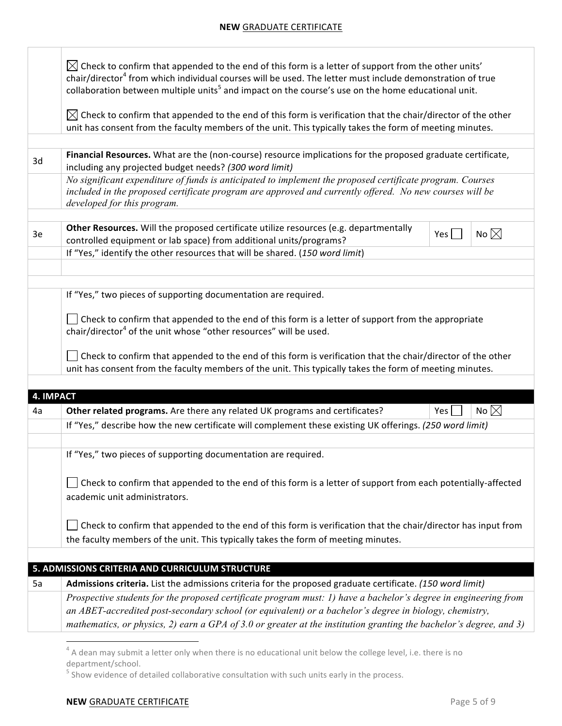|           | $\boxtimes$ Check to confirm that appended to the end of this form is a letter of support from the other units'<br>chair/director <sup>4</sup> from which individual courses will be used. The letter must include demonstration of true<br>collaboration between multiple units <sup>5</sup> and impact on the course's use on the home educational unit. |            |                |  |  |  |  |
|-----------|------------------------------------------------------------------------------------------------------------------------------------------------------------------------------------------------------------------------------------------------------------------------------------------------------------------------------------------------------------|------------|----------------|--|--|--|--|
|           | $\boxtimes$ Check to confirm that appended to the end of this form is verification that the chair/director of the other<br>unit has consent from the faculty members of the unit. This typically takes the form of meeting minutes.                                                                                                                        |            |                |  |  |  |  |
|           |                                                                                                                                                                                                                                                                                                                                                            |            |                |  |  |  |  |
| 3d        | Financial Resources. What are the (non-course) resource implications for the proposed graduate certificate,<br>including any projected budget needs? (300 word limit)                                                                                                                                                                                      |            |                |  |  |  |  |
|           | No significant expenditure of funds is anticipated to implement the proposed certificate program. Courses<br>included in the proposed certificate program are approved and currently offered. No new courses will be<br>developed for this program.                                                                                                        |            |                |  |  |  |  |
| 3e        | Other Resources. Will the proposed certificate utilize resources (e.g. departmentally<br>No $\boxtimes$<br>Yes $ $<br>controlled equipment or lab space) from additional units/programs?                                                                                                                                                                   |            |                |  |  |  |  |
|           | If "Yes," identify the other resources that will be shared. (150 word limit)                                                                                                                                                                                                                                                                               |            |                |  |  |  |  |
|           |                                                                                                                                                                                                                                                                                                                                                            |            |                |  |  |  |  |
|           | If "Yes," two pieces of supporting documentation are required.                                                                                                                                                                                                                                                                                             |            |                |  |  |  |  |
|           | Check to confirm that appended to the end of this form is a letter of support from the appropriate<br>chair/director <sup>4</sup> of the unit whose "other resources" will be used.                                                                                                                                                                        |            |                |  |  |  |  |
|           | Check to confirm that appended to the end of this form is verification that the chair/director of the other<br>unit has consent from the faculty members of the unit. This typically takes the form of meeting minutes.                                                                                                                                    |            |                |  |  |  |  |
| 4. IMPACT |                                                                                                                                                                                                                                                                                                                                                            |            |                |  |  |  |  |
| 4a        | Other related programs. Are there any related UK programs and certificates?                                                                                                                                                                                                                                                                                | Yes $\Box$ | No $\boxtimes$ |  |  |  |  |
|           | If "Yes," describe how the new certificate will complement these existing UK offerings. (250 word limit)                                                                                                                                                                                                                                                   |            |                |  |  |  |  |
|           |                                                                                                                                                                                                                                                                                                                                                            |            |                |  |  |  |  |
|           | If "Yes," two pieces of supporting documentation are required.                                                                                                                                                                                                                                                                                             |            |                |  |  |  |  |
|           | Check to confirm that appended to the end of this form is a letter of support from each potentially-affected<br>academic unit administrators.                                                                                                                                                                                                              |            |                |  |  |  |  |
|           | Check to confirm that appended to the end of this form is verification that the chair/director has input from<br>the faculty members of the unit. This typically takes the form of meeting minutes.                                                                                                                                                        |            |                |  |  |  |  |
|           |                                                                                                                                                                                                                                                                                                                                                            |            |                |  |  |  |  |
|           | 5. ADMISSIONS CRITERIA AND CURRICULUM STRUCTURE                                                                                                                                                                                                                                                                                                            |            |                |  |  |  |  |
| 5a        | Admissions criteria. List the admissions criteria for the proposed graduate certificate. (150 word limit)<br>Prospective students for the proposed certificate program must: 1) have a bachelor's degree in engineering from                                                                                                                               |            |                |  |  |  |  |
|           | an ABET-accredited post-secondary school (or equivalent) or a bachelor's degree in biology, chemistry,<br>mathematics, or physics, 2) earn a GPA of 3.0 or greater at the institution granting the bachelor's degree, and 3)                                                                                                                               |            |                |  |  |  |  |
|           |                                                                                                                                                                                                                                                                                                                                                            |            |                |  |  |  |  |

 $^4$  A dean may submit a letter only when there is no educational unit below the college level, i.e. there is no department/school.<br>
<sup>5</sup> Show evidence of detailed collaborative consultation with such units early in the process.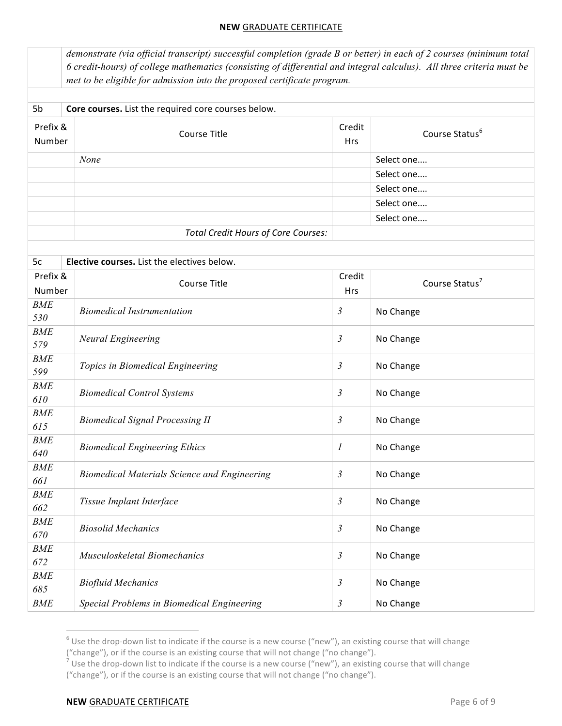|                    | demonstrate (via official transcript) successful completion (grade B or better) in each of 2 courses (minimum total<br>6 credit-hours) of college mathematics (consisting of differential and integral calculus). All three criteria must be<br>met to be eligible for admission into the proposed certificate program. |                  |                            |  |  |  |  |  |  |
|--------------------|-------------------------------------------------------------------------------------------------------------------------------------------------------------------------------------------------------------------------------------------------------------------------------------------------------------------------|------------------|----------------------------|--|--|--|--|--|--|
| 5b                 | Core courses. List the required core courses below.                                                                                                                                                                                                                                                                     |                  |                            |  |  |  |  |  |  |
| Prefix &<br>Number | <b>Course Title</b>                                                                                                                                                                                                                                                                                                     | Credit<br>Hrs    | Course Status <sup>6</sup> |  |  |  |  |  |  |
|                    | None                                                                                                                                                                                                                                                                                                                    |                  | Select one                 |  |  |  |  |  |  |
|                    |                                                                                                                                                                                                                                                                                                                         |                  | Select one                 |  |  |  |  |  |  |
|                    |                                                                                                                                                                                                                                                                                                                         |                  | Select one                 |  |  |  |  |  |  |
|                    |                                                                                                                                                                                                                                                                                                                         |                  | Select one                 |  |  |  |  |  |  |
|                    |                                                                                                                                                                                                                                                                                                                         |                  | Select one                 |  |  |  |  |  |  |
|                    | <b>Total Credit Hours of Core Courses:</b>                                                                                                                                                                                                                                                                              |                  |                            |  |  |  |  |  |  |
|                    |                                                                                                                                                                                                                                                                                                                         |                  |                            |  |  |  |  |  |  |
| 5c                 | Elective courses. List the electives below.                                                                                                                                                                                                                                                                             |                  |                            |  |  |  |  |  |  |
| Prefix &<br>Number | <b>Course Title</b>                                                                                                                                                                                                                                                                                                     | Credit<br>Hrs    | Course Status <sup>7</sup> |  |  |  |  |  |  |
| <b>BME</b><br>530  | <b>Biomedical Instrumentation</b>                                                                                                                                                                                                                                                                                       | $\mathfrak{Z}$   | No Change                  |  |  |  |  |  |  |
| <b>BME</b><br>579  | Neural Engineering                                                                                                                                                                                                                                                                                                      | $\mathfrak{Z}$   | No Change                  |  |  |  |  |  |  |
| <b>BME</b><br>599  | Topics in Biomedical Engineering                                                                                                                                                                                                                                                                                        | $\mathfrak{Z}$   | No Change                  |  |  |  |  |  |  |
| <b>BME</b><br>610  | <b>Biomedical Control Systems</b>                                                                                                                                                                                                                                                                                       | $\mathfrak{Z}$   | No Change                  |  |  |  |  |  |  |
| <b>BME</b><br>615  | <b>Biomedical Signal Processing II</b>                                                                                                                                                                                                                                                                                  | $\mathfrak{Z}$   | No Change                  |  |  |  |  |  |  |
| <b>BME</b><br>640  | <b>Biomedical Engineering Ethics</b>                                                                                                                                                                                                                                                                                    | $\boldsymbol{l}$ | No Change                  |  |  |  |  |  |  |
| <b>BME</b><br>661  | <b>Biomedical Materials Science and Engineering</b>                                                                                                                                                                                                                                                                     | $\mathfrak{Z}$   | No Change                  |  |  |  |  |  |  |
| <b>BME</b><br>662  | Tissue Implant Interface<br>$\mathfrak{Z}$                                                                                                                                                                                                                                                                              |                  | No Change                  |  |  |  |  |  |  |
| <b>BME</b><br>670  | <b>Biosolid Mechanics</b>                                                                                                                                                                                                                                                                                               | $\mathfrak{Z}$   | No Change                  |  |  |  |  |  |  |
| <b>BME</b><br>672  | Musculoskeletal Biomechanics                                                                                                                                                                                                                                                                                            | $\mathfrak{Z}$   | No Change                  |  |  |  |  |  |  |
| <b>BME</b><br>685  | <b>Biofluid Mechanics</b>                                                                                                                                                                                                                                                                                               | $\mathfrak{Z}$   | No Change                  |  |  |  |  |  |  |
| <b>BME</b>         | Special Problems in Biomedical Engineering                                                                                                                                                                                                                                                                              | $\mathfrak{Z}$   | No Change                  |  |  |  |  |  |  |

 $^6$  Use the drop-down list to indicate if the course is a new course ("new"), an existing course that will change ("change"), or if the course is an existing course that will not change ("no change").

<u> Andrew Maria (1989)</u>

<sup>&</sup>lt;sup>7</sup> Use the drop-down list to indicate if the course is a new course ("new"), an existing course that will change ("change"), or if the course is an existing course that will not change ("no change").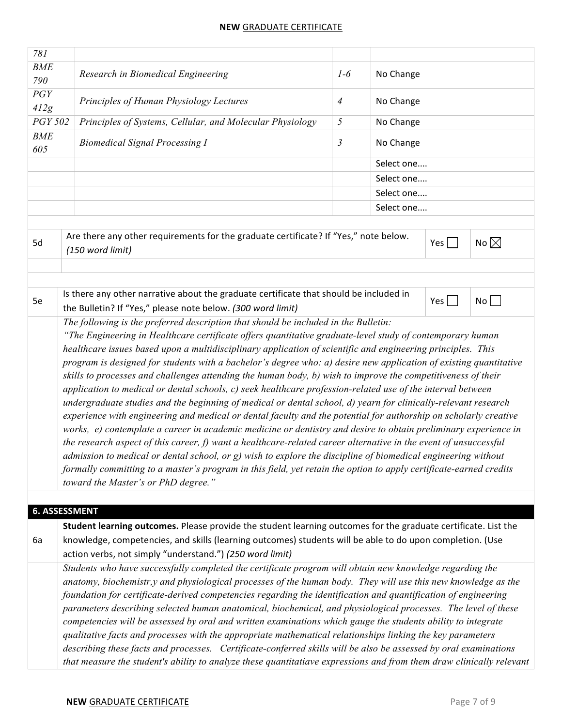| 781        |                                                                                                                                                                                                                                                                                                                                                                                                                                                                                                                                                                                                                                                                                                                                                                                                                                                                                                                                                                                                                                                                                                                                                                                                                                                                                                                                            |                |            |       |                |  |  |
|------------|--------------------------------------------------------------------------------------------------------------------------------------------------------------------------------------------------------------------------------------------------------------------------------------------------------------------------------------------------------------------------------------------------------------------------------------------------------------------------------------------------------------------------------------------------------------------------------------------------------------------------------------------------------------------------------------------------------------------------------------------------------------------------------------------------------------------------------------------------------------------------------------------------------------------------------------------------------------------------------------------------------------------------------------------------------------------------------------------------------------------------------------------------------------------------------------------------------------------------------------------------------------------------------------------------------------------------------------------|----------------|------------|-------|----------------|--|--|
| <b>BME</b> |                                                                                                                                                                                                                                                                                                                                                                                                                                                                                                                                                                                                                                                                                                                                                                                                                                                                                                                                                                                                                                                                                                                                                                                                                                                                                                                                            |                | No Change  |       |                |  |  |
| 790        | Research in Biomedical Engineering                                                                                                                                                                                                                                                                                                                                                                                                                                                                                                                                                                                                                                                                                                                                                                                                                                                                                                                                                                                                                                                                                                                                                                                                                                                                                                         | $1-6$          |            |       |                |  |  |
| PGY        | Principles of Human Physiology Lectures                                                                                                                                                                                                                                                                                                                                                                                                                                                                                                                                                                                                                                                                                                                                                                                                                                                                                                                                                                                                                                                                                                                                                                                                                                                                                                    | $\overline{4}$ | No Change  |       |                |  |  |
| 412g       |                                                                                                                                                                                                                                                                                                                                                                                                                                                                                                                                                                                                                                                                                                                                                                                                                                                                                                                                                                                                                                                                                                                                                                                                                                                                                                                                            |                |            |       |                |  |  |
| PGY 502    | Principles of Systems, Cellular, and Molecular Physiology                                                                                                                                                                                                                                                                                                                                                                                                                                                                                                                                                                                                                                                                                                                                                                                                                                                                                                                                                                                                                                                                                                                                                                                                                                                                                  | 5              | No Change  |       |                |  |  |
| <b>BME</b> |                                                                                                                                                                                                                                                                                                                                                                                                                                                                                                                                                                                                                                                                                                                                                                                                                                                                                                                                                                                                                                                                                                                                                                                                                                                                                                                                            |                |            |       |                |  |  |
| 605        | <b>Biomedical Signal Processing I</b>                                                                                                                                                                                                                                                                                                                                                                                                                                                                                                                                                                                                                                                                                                                                                                                                                                                                                                                                                                                                                                                                                                                                                                                                                                                                                                      | 3              | No Change  |       |                |  |  |
|            |                                                                                                                                                                                                                                                                                                                                                                                                                                                                                                                                                                                                                                                                                                                                                                                                                                                                                                                                                                                                                                                                                                                                                                                                                                                                                                                                            |                | Select one |       |                |  |  |
|            |                                                                                                                                                                                                                                                                                                                                                                                                                                                                                                                                                                                                                                                                                                                                                                                                                                                                                                                                                                                                                                                                                                                                                                                                                                                                                                                                            |                | Select one |       |                |  |  |
|            |                                                                                                                                                                                                                                                                                                                                                                                                                                                                                                                                                                                                                                                                                                                                                                                                                                                                                                                                                                                                                                                                                                                                                                                                                                                                                                                                            |                | Select one |       |                |  |  |
|            |                                                                                                                                                                                                                                                                                                                                                                                                                                                                                                                                                                                                                                                                                                                                                                                                                                                                                                                                                                                                                                                                                                                                                                                                                                                                                                                                            |                | Select one |       |                |  |  |
|            |                                                                                                                                                                                                                                                                                                                                                                                                                                                                                                                                                                                                                                                                                                                                                                                                                                                                                                                                                                                                                                                                                                                                                                                                                                                                                                                                            |                |            |       |                |  |  |
| 5d         | Are there any other requirements for the graduate certificate? If "Yes," note below.<br>(150 word limit)                                                                                                                                                                                                                                                                                                                                                                                                                                                                                                                                                                                                                                                                                                                                                                                                                                                                                                                                                                                                                                                                                                                                                                                                                                   |                |            | Yes   | No $\boxtimes$ |  |  |
|            |                                                                                                                                                                                                                                                                                                                                                                                                                                                                                                                                                                                                                                                                                                                                                                                                                                                                                                                                                                                                                                                                                                                                                                                                                                                                                                                                            |                |            |       |                |  |  |
|            | Is there any other narrative about the graduate certificate that should be included in                                                                                                                                                                                                                                                                                                                                                                                                                                                                                                                                                                                                                                                                                                                                                                                                                                                                                                                                                                                                                                                                                                                                                                                                                                                     |                |            |       |                |  |  |
| 5e         | the Bulletin? If "Yes," please note below. (300 word limit)                                                                                                                                                                                                                                                                                                                                                                                                                                                                                                                                                                                                                                                                                                                                                                                                                                                                                                                                                                                                                                                                                                                                                                                                                                                                                |                |            | $Yes$ | No             |  |  |
|            | "The Engineering in Healthcare certificate offers quantitative graduate-level study of contemporary human<br>healthcare issues based upon a multidisciplinary application of scientific and engineering principles. This<br>program is designed for students with a bachelor's degree who: a) desire new application of existing quantitative<br>skills to processes and challenges attending the human body, b) wish to improve the competitiveness of their<br>application to medical or dental schools, c) seek healthcare profession-related use of the interval between<br>undergraduate studies and the beginning of medical or dental school, d) yearn for clinically-relevant research<br>experience with engineering and medical or dental faculty and the potential for authorship on scholarly creative<br>works, e) contemplate a career in academic medicine or dentistry and desire to obtain preliminary experience in<br>the research aspect of this career, $f$ ) want a healthcare-related career alternative in the event of unsuccessful<br>admission to medical or dental school, or g) wish to explore the discipline of biomedical engineering without<br>formally committing to a master's program in this field, yet retain the option to apply certificate-earned credits<br>toward the Master's or PhD degree." |                |            |       |                |  |  |
|            |                                                                                                                                                                                                                                                                                                                                                                                                                                                                                                                                                                                                                                                                                                                                                                                                                                                                                                                                                                                                                                                                                                                                                                                                                                                                                                                                            |                |            |       |                |  |  |
|            | <b>6. ASSESSMENT</b>                                                                                                                                                                                                                                                                                                                                                                                                                                                                                                                                                                                                                                                                                                                                                                                                                                                                                                                                                                                                                                                                                                                                                                                                                                                                                                                       |                |            |       |                |  |  |
| 6a         | Student learning outcomes. Please provide the student learning outcomes for the graduate certificate. List the<br>knowledge, competencies, and skills (learning outcomes) students will be able to do upon completion. (Use                                                                                                                                                                                                                                                                                                                                                                                                                                                                                                                                                                                                                                                                                                                                                                                                                                                                                                                                                                                                                                                                                                                |                |            |       |                |  |  |
|            | action verbs, not simply "understand.") (250 word limit)                                                                                                                                                                                                                                                                                                                                                                                                                                                                                                                                                                                                                                                                                                                                                                                                                                                                                                                                                                                                                                                                                                                                                                                                                                                                                   |                |            |       |                |  |  |
|            | Students who have successfully completed the certificate program will obtain new knowledge regarding the<br>anatomy, biochemistr,y and physiological processes of the human body. They will use this new knowledge as the                                                                                                                                                                                                                                                                                                                                                                                                                                                                                                                                                                                                                                                                                                                                                                                                                                                                                                                                                                                                                                                                                                                  |                |            |       |                |  |  |
|            | foundation for certificate-derived competencies regarding the identification and quantification of engineering                                                                                                                                                                                                                                                                                                                                                                                                                                                                                                                                                                                                                                                                                                                                                                                                                                                                                                                                                                                                                                                                                                                                                                                                                             |                |            |       |                |  |  |
|            | parameters describing selected human anatomical, biochemical, and physiological processes. The level of these                                                                                                                                                                                                                                                                                                                                                                                                                                                                                                                                                                                                                                                                                                                                                                                                                                                                                                                                                                                                                                                                                                                                                                                                                              |                |            |       |                |  |  |
|            | competencies will be assessed by oral and written examinations which gauge the students ability to integrate                                                                                                                                                                                                                                                                                                                                                                                                                                                                                                                                                                                                                                                                                                                                                                                                                                                                                                                                                                                                                                                                                                                                                                                                                               |                |            |       |                |  |  |
|            | qualitative facts and processes with the appropriate mathematical relationships linking the key parameters                                                                                                                                                                                                                                                                                                                                                                                                                                                                                                                                                                                                                                                                                                                                                                                                                                                                                                                                                                                                                                                                                                                                                                                                                                 |                |            |       |                |  |  |
|            | describing these facts and processes. Certificate-conferred skills will be also be assessed by oral examinations                                                                                                                                                                                                                                                                                                                                                                                                                                                                                                                                                                                                                                                                                                                                                                                                                                                                                                                                                                                                                                                                                                                                                                                                                           |                |            |       |                |  |  |
|            | that measure the student's ability to analyze these quantitatiave expressions and from them draw clinically relevant                                                                                                                                                                                                                                                                                                                                                                                                                                                                                                                                                                                                                                                                                                                                                                                                                                                                                                                                                                                                                                                                                                                                                                                                                       |                |            |       |                |  |  |
|            |                                                                                                                                                                                                                                                                                                                                                                                                                                                                                                                                                                                                                                                                                                                                                                                                                                                                                                                                                                                                                                                                                                                                                                                                                                                                                                                                            |                |            |       |                |  |  |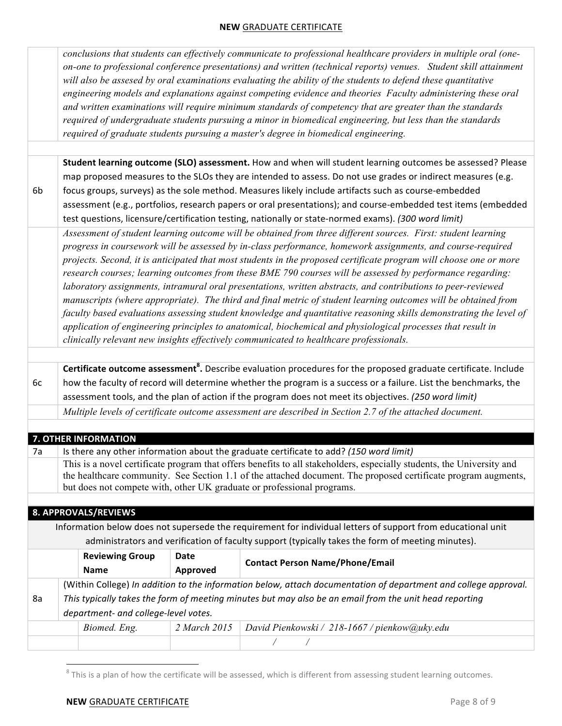|    | conclusions that students can effectively communicate to professional healthcare providers in multiple oral (one-<br>on-one to professional conference presentations) and written (technical reports) venues. Student skill attainment<br>will also be assesed by oral examinations evaluating the ability of the students to defend these quantitative<br>engineering models and explanations against competing evidence and theories Faculty administering these oral<br>and written examinations will require minimum standards of competency that are greater than the standards<br>required of undergraduate students pursuing a minor in biomedical engineering, but less than the standards<br>required of graduate students pursuing a master's degree in biomedical engineering.                                                                                                                                                                                                                                       |                                       |                         |                                                                                                                                                                                                                                                                                                                                                                                                                                                                                                                                                             |  |  |  |  |  |
|----|---------------------------------------------------------------------------------------------------------------------------------------------------------------------------------------------------------------------------------------------------------------------------------------------------------------------------------------------------------------------------------------------------------------------------------------------------------------------------------------------------------------------------------------------------------------------------------------------------------------------------------------------------------------------------------------------------------------------------------------------------------------------------------------------------------------------------------------------------------------------------------------------------------------------------------------------------------------------------------------------------------------------------------|---------------------------------------|-------------------------|-------------------------------------------------------------------------------------------------------------------------------------------------------------------------------------------------------------------------------------------------------------------------------------------------------------------------------------------------------------------------------------------------------------------------------------------------------------------------------------------------------------------------------------------------------------|--|--|--|--|--|
|    |                                                                                                                                                                                                                                                                                                                                                                                                                                                                                                                                                                                                                                                                                                                                                                                                                                                                                                                                                                                                                                 |                                       |                         |                                                                                                                                                                                                                                                                                                                                                                                                                                                                                                                                                             |  |  |  |  |  |
| 6b |                                                                                                                                                                                                                                                                                                                                                                                                                                                                                                                                                                                                                                                                                                                                                                                                                                                                                                                                                                                                                                 |                                       |                         | Student learning outcome (SLO) assessment. How and when will student learning outcomes be assessed? Please<br>map proposed measures to the SLOs they are intended to assess. Do not use grades or indirect measures (e.g.<br>focus groups, surveys) as the sole method. Measures likely include artifacts such as course-embedded<br>assessment (e.g., portfolios, research papers or oral presentations); and course-embedded test items (embedded<br>test questions, licensure/certification testing, nationally or state-normed exams). (300 word limit) |  |  |  |  |  |
|    | Assessment of student learning outcome will be obtained from three different sources. First: student learning<br>progress in coursework will be assessed by in-class performance, homework assignments, and course-required<br>projects. Second, it is anticipated that most students in the proposed certificate program will choose one or more<br>research courses; learning outcomes from these BME 790 courses will be assessed by performance regarding:<br>laboratory assignments, intramural oral presentations, written abstracts, and contributions to peer-reviewed<br>manuscripts (where appropriate). The third and final metric of student learning outcomes will be obtained from<br>faculty based evaluations assessing student knowledge and quantitative reasoning skills demonstrating the level of<br>application of engineering principles to anatomical, biochemical and physiological processes that result in<br>clinically relevant new insights effectively communicated to healthcare professionals. |                                       |                         |                                                                                                                                                                                                                                                                                                                                                                                                                                                                                                                                                             |  |  |  |  |  |
|    |                                                                                                                                                                                                                                                                                                                                                                                                                                                                                                                                                                                                                                                                                                                                                                                                                                                                                                                                                                                                                                 |                                       |                         |                                                                                                                                                                                                                                                                                                                                                                                                                                                                                                                                                             |  |  |  |  |  |
|    |                                                                                                                                                                                                                                                                                                                                                                                                                                                                                                                                                                                                                                                                                                                                                                                                                                                                                                                                                                                                                                 |                                       |                         | Certificate outcome assessment <sup>8</sup> . Describe evaluation procedures for the proposed graduate certificate. Include                                                                                                                                                                                                                                                                                                                                                                                                                                 |  |  |  |  |  |
| 6c |                                                                                                                                                                                                                                                                                                                                                                                                                                                                                                                                                                                                                                                                                                                                                                                                                                                                                                                                                                                                                                 |                                       |                         | how the faculty of record will determine whether the program is a success or a failure. List the benchmarks, the<br>assessment tools, and the plan of action if the program does not meet its objectives. (250 word limit)                                                                                                                                                                                                                                                                                                                                  |  |  |  |  |  |
|    | Multiple levels of certificate outcome assessment are described in Section 2.7 of the attached document.                                                                                                                                                                                                                                                                                                                                                                                                                                                                                                                                                                                                                                                                                                                                                                                                                                                                                                                        |                                       |                         |                                                                                                                                                                                                                                                                                                                                                                                                                                                                                                                                                             |  |  |  |  |  |
|    |                                                                                                                                                                                                                                                                                                                                                                                                                                                                                                                                                                                                                                                                                                                                                                                                                                                                                                                                                                                                                                 |                                       |                         |                                                                                                                                                                                                                                                                                                                                                                                                                                                                                                                                                             |  |  |  |  |  |
|    |                                                                                                                                                                                                                                                                                                                                                                                                                                                                                                                                                                                                                                                                                                                                                                                                                                                                                                                                                                                                                                 | 7. OTHER INFORMATION                  |                         |                                                                                                                                                                                                                                                                                                                                                                                                                                                                                                                                                             |  |  |  |  |  |
| 7a |                                                                                                                                                                                                                                                                                                                                                                                                                                                                                                                                                                                                                                                                                                                                                                                                                                                                                                                                                                                                                                 |                                       |                         | Is there any other information about the graduate certificate to add? (150 word limit)                                                                                                                                                                                                                                                                                                                                                                                                                                                                      |  |  |  |  |  |
|    | This is a novel certificate program that offers benefits to all stakeholders, especially students, the University and<br>the healthcare community. See Section 1.1 of the attached document. The proposed certificate program augments,<br>but does not compete with, other UK graduate or professional programs.                                                                                                                                                                                                                                                                                                                                                                                                                                                                                                                                                                                                                                                                                                               |                                       |                         |                                                                                                                                                                                                                                                                                                                                                                                                                                                                                                                                                             |  |  |  |  |  |
|    |                                                                                                                                                                                                                                                                                                                                                                                                                                                                                                                                                                                                                                                                                                                                                                                                                                                                                                                                                                                                                                 | 8. APPROVALS/REVIEWS                  |                         |                                                                                                                                                                                                                                                                                                                                                                                                                                                                                                                                                             |  |  |  |  |  |
|    |                                                                                                                                                                                                                                                                                                                                                                                                                                                                                                                                                                                                                                                                                                                                                                                                                                                                                                                                                                                                                                 |                                       |                         | Information below does not supersede the requirement for individual letters of support from educational unit                                                                                                                                                                                                                                                                                                                                                                                                                                                |  |  |  |  |  |
|    |                                                                                                                                                                                                                                                                                                                                                                                                                                                                                                                                                                                                                                                                                                                                                                                                                                                                                                                                                                                                                                 |                                       |                         | administrators and verification of faculty support (typically takes the form of meeting minutes).                                                                                                                                                                                                                                                                                                                                                                                                                                                           |  |  |  |  |  |
|    |                                                                                                                                                                                                                                                                                                                                                                                                                                                                                                                                                                                                                                                                                                                                                                                                                                                                                                                                                                                                                                 | <b>Reviewing Group</b><br><b>Name</b> | <b>Date</b><br>Approved | <b>Contact Person Name/Phone/Email</b>                                                                                                                                                                                                                                                                                                                                                                                                                                                                                                                      |  |  |  |  |  |
|    |                                                                                                                                                                                                                                                                                                                                                                                                                                                                                                                                                                                                                                                                                                                                                                                                                                                                                                                                                                                                                                 |                                       |                         | (Within College) In addition to the information below, attach documentation of department and college approval.                                                                                                                                                                                                                                                                                                                                                                                                                                             |  |  |  |  |  |
| 8a |                                                                                                                                                                                                                                                                                                                                                                                                                                                                                                                                                                                                                                                                                                                                                                                                                                                                                                                                                                                                                                 | department- and college-level votes.  |                         | This typically takes the form of meeting minutes but may also be an email from the unit head reporting                                                                                                                                                                                                                                                                                                                                                                                                                                                      |  |  |  |  |  |
|    |                                                                                                                                                                                                                                                                                                                                                                                                                                                                                                                                                                                                                                                                                                                                                                                                                                                                                                                                                                                                                                 | Biomed. Eng.                          | 2 March 2015            | David Pienkowski / 218-1667 / pienkow@uky.edu                                                                                                                                                                                                                                                                                                                                                                                                                                                                                                               |  |  |  |  |  |
|    |                                                                                                                                                                                                                                                                                                                                                                                                                                                                                                                                                                                                                                                                                                                                                                                                                                                                                                                                                                                                                                 |                                       |                         | $\sqrt{2}$<br>Γ                                                                                                                                                                                                                                                                                                                                                                                                                                                                                                                                             |  |  |  |  |  |
|    |                                                                                                                                                                                                                                                                                                                                                                                                                                                                                                                                                                                                                                                                                                                                                                                                                                                                                                                                                                                                                                 |                                       |                         |                                                                                                                                                                                                                                                                                                                                                                                                                                                                                                                                                             |  |  |  |  |  |

 $^8$  This is a plan of how the certificate will be assessed, which is different from assessing student learning outcomes.

<u> Andrew Maria (1989)</u>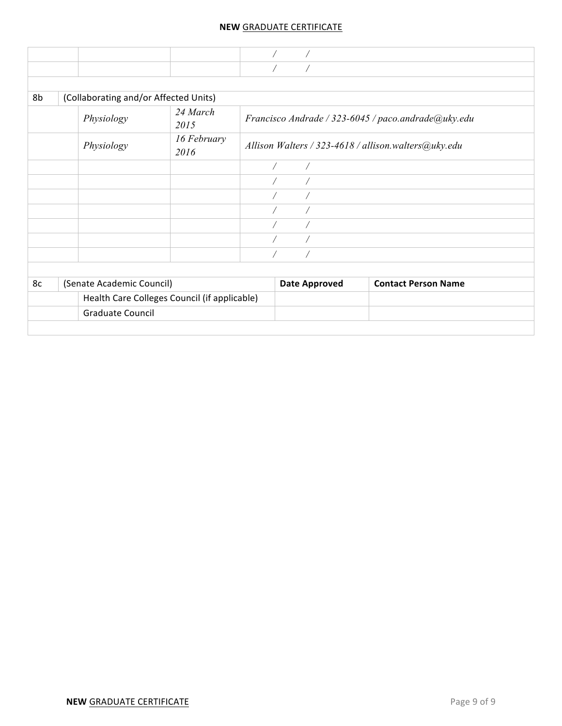| 8b | (Collaborating and/or Affected Units) |                                              |                      |                                                      |
|----|---------------------------------------|----------------------------------------------|----------------------|------------------------------------------------------|
|    | Physiology                            | 24 March<br>2015                             |                      | Francisco Andrade / 323-6045 / paco.andrade@uky.edu  |
|    | Physiology                            | 16 February<br>2016                          |                      | Allison Walters / 323-4618 / allison.walters@uky.edu |
|    |                                       |                                              | $\bigg)$<br>$\bigg)$ |                                                      |
|    |                                       |                                              |                      |                                                      |
|    |                                       |                                              |                      |                                                      |
|    |                                       |                                              |                      |                                                      |
|    |                                       |                                              |                      |                                                      |
|    |                                       |                                              |                      |                                                      |
|    |                                       |                                              |                      |                                                      |
|    |                                       |                                              |                      |                                                      |
| 8c | (Senate Academic Council)             |                                              | <b>Date Approved</b> | <b>Contact Person Name</b>                           |
|    |                                       | Health Care Colleges Council (if applicable) |                      |                                                      |
|    | <b>Graduate Council</b>               |                                              |                      |                                                      |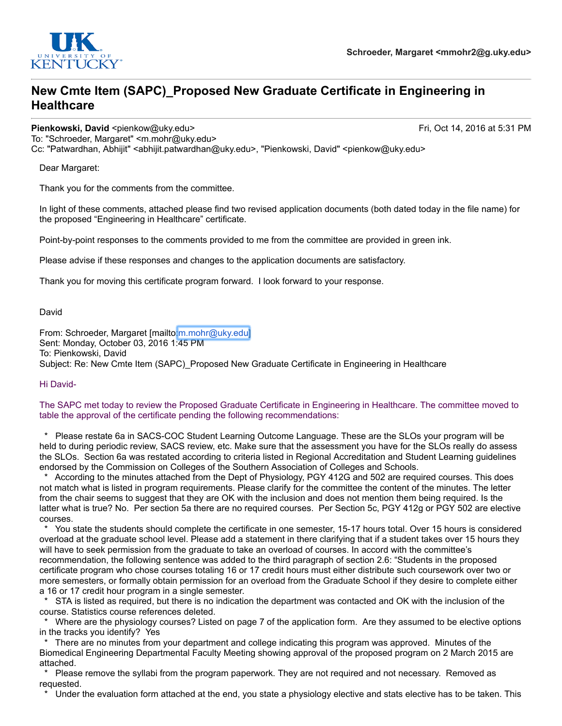

# **New Cmte Item (SAPC)\_Proposed New Graduate Certificate in Engineering in Healthcare**

**Pienkowski, David** <pienkow@uky.edu> Fri, Oct 14, 2016 at 5:31 PM

To: "Schroeder, Margaret" <m.mohr@uky.edu>

Cc: "Patwardhan, Abhijit" <abhijit.patwardhan@uky.edu>, "Pienkowski, David" <pienkow@uky.edu>

Dear Margaret:

Thank you for the comments from the committee.

In light of these comments, attached please find two revised application documents (both dated today in the file name) for the proposed "Engineering in Healthcare" certificate.

Point-by-point responses to the comments provided to me from the committee are provided in green ink.

Please advise if these responses and changes to the application documents are satisfactory.

Thank you for moving this certificate program forward. I look forward to your response.

David

From: Schroeder, Margaret [mailto:m.mohr@uky.edu] Sent: Monday, October 03, 2016 1:45 PM To: Pienkowski, David Subject: Re: New Cmte Item (SAPC) Proposed New Graduate Certificate in Engineering in Healthcare

Hi David-

The SAPC met today to review the Proposed Graduate Certificate in Engineering in Healthcare. The committee moved to table the approval of the certificate pending the following recommendations:

Please restate 6a in SACS-COC Student Learning Outcome Language. These are the SLOs your program will be held to during periodic review, SACS review, etc. Make sure that the assessment you have for the SLOs really do assess the SLOs. Section 6a was restated according to criteria listed in Regional Accreditation and Student Learning guidelines endorsed by the Commission on Colleges of the Southern Association of Colleges and Schools.

\* According to the minutes attached from the Dept of Physiology, PGY 412G and 502 are required courses. This does not match what is listed in program requirements. Please clarify for the committee the content of the minutes. The letter from the chair seems to suggest that they are OK with the inclusion and does not mention them being required. Is the latter what is true? No. Per section 5a there are no required courses. Per Section 5c, PGY 412g or PGY 502 are elective courses.

You state the students should complete the certificate in one semester, 15-17 hours total. Over 15 hours is considered overload at the graduate school level. Please add a statement in there clarifying that if a student takes over 15 hours they will have to seek permission from the graduate to take an overload of courses. In accord with the committee's recommendation, the following sentence was added to the third paragraph of section 2.6: "Students in the proposed certificate program who chose courses totaling 16 or 17 credit hours must either distribute such coursework over two or more semesters, or formally obtain permission for an overload from the Graduate School if they desire to complete either a 16 or 17 credit hour program in a single semester.

STA is listed as required, but there is no indication the department was contacted and OK with the inclusion of the course. Statistics course references deleted.

\* Where are the physiology courses? Listed on page 7 of the application form. Are they assumed to be elective options in the tracks you identify? Yes

\* There are no minutes from your department and college indicating this program was approved. Minutes of the Biomedical Engineering Departmental Faculty Meeting showing approval of the proposed program on 2 March 2015 are attached.

Please remove the syllabi from the program paperwork. They are not required and not necessary. Removed as requested.

Under the evaluation form attached at the end, you state a physiology elective and stats elective has to be taken. This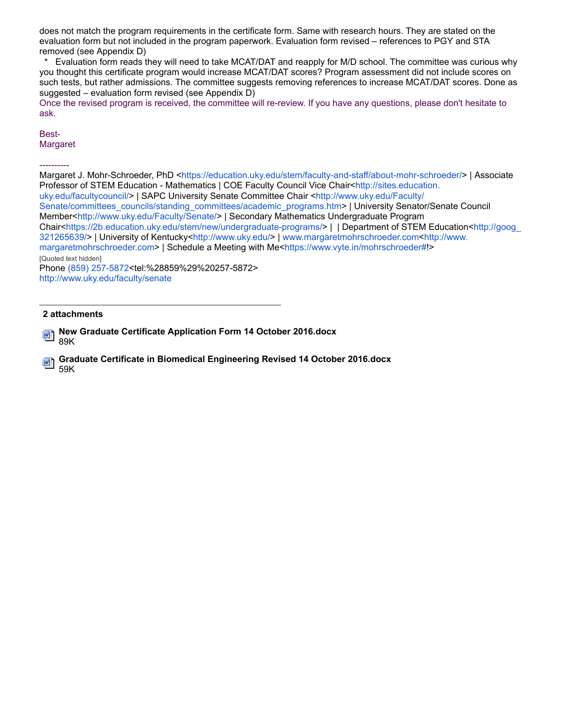does not match the program requirements in the certificate form. Same with research hours. They are stated on the evaluation form but not included in the program paperwork. Evaluation form revised – references to PGY and STA removed (see Appendix D)

Evaluation form reads they will need to take MCAT/DAT and reapply for M/D school. The committee was curious why you thought this certificate program would increase MCAT/DAT scores? Program assessment did not include scores on such tests, but rather admissions. The committee suggests removing references to increase MCAT/DAT scores. Done as suggested – evaluation form revised (see Appendix D)

Once the revised program is received, the committee will re-review. If you have any questions, please don't hesitate to ask.

#### Best-**Margaret**

----------

Margaret J. Mohr-Schroeder, PhD <https://education.uky.edu/stem/faculty-and-staff/about-mohr-schroeder/> | Associate Professor of STEM Education - Mathematics | COE Faculty Council Vice Chair<http://sites.education. uky.edu/facultycouncil/> | SAPC University Senate Committee Chair <http://www.uky.edu/Faculty/ Senate/committees\_councils/standing\_committees/academic\_programs.htm> | University Senator/Senate Council Member<http://www.uky.edu/Faculty/Senate/> | Secondary Mathematics Undergraduate Program Chair<https://2b.education.uky.edu/stem/new/undergraduate-programs/> | | Department of STEM Education<http://goog 321265639/> | University of Kentucky<http://www.uky.edu/> | www.margaretmohrschroeder.com<http://www. margaretmohrschroeder.com> | Schedule a Meeting with Me<https://www.vyte.in/mohrschroeder#!> [Quoted text hidden] Phone (859) 257-5872<tel:%28859%29%20257-5872> http://www.uky.edu/faculty/senate

#### **2 attachments**

**New Graduate Certificate Application Form 14 October 2016.docx** 砢 89K

**Graduate Certificate in Biomedical Engineering Revised 14 October 2016.docx** 59K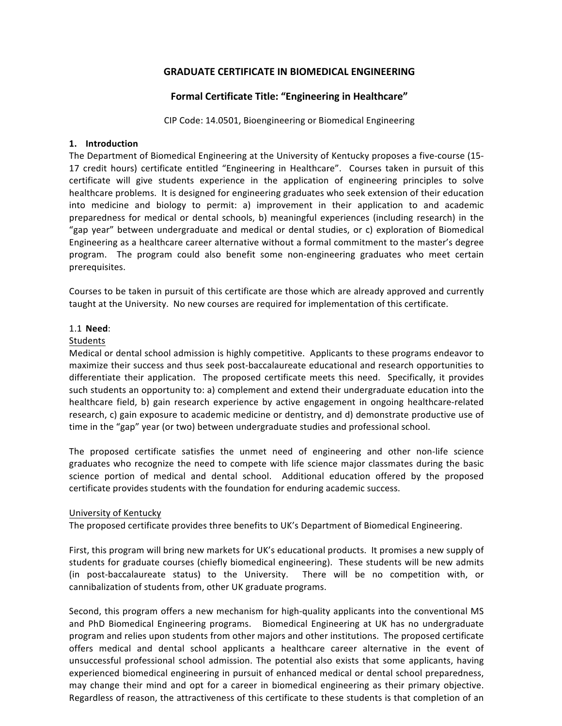# **GRADUATE CERTIFICATE IN BIOMEDICAL ENGINEERING**

# **Formal Certificate Title: "Engineering in Healthcare"**

CIP Code: 14.0501, Bioengineering or Biomedical Engineering

### **1. Introduction**

The Department of Biomedical Engineering at the University of Kentucky proposes a five-course (15-17 credit hours) certificate entitled "Engineering in Healthcare". Courses taken in pursuit of this certificate will give students experience in the application of engineering principles to solve healthcare problems. It is designed for engineering graduates who seek extension of their education into medicine and biology to permit: a) improvement in their application to and academic preparedness for medical or dental schools, b) meaningful experiences (including research) in the "gap year" between undergraduate and medical or dental studies, or c) exploration of Biomedical Engineering as a healthcare career alternative without a formal commitment to the master's degree program. The program could also benefit some non-engineering graduates who meet certain prerequisites.

Courses to be taken in pursuit of this certificate are those which are already approved and currently taught at the University. No new courses are required for implementation of this certificate.

### 1.1 **Need**:

### **Students**

Medical or dental school admission is highly competitive. Applicants to these programs endeavor to maximize their success and thus seek post-baccalaureate educational and research opportunities to differentiate their application. The proposed certificate meets this need. Specifically, it provides such students an opportunity to: a) complement and extend their undergraduate education into the healthcare field, b) gain research experience by active engagement in ongoing healthcare-related research, c) gain exposure to academic medicine or dentistry, and d) demonstrate productive use of time in the "gap" year (or two) between undergraduate studies and professional school.

The proposed certificate satisfies the unmet need of engineering and other non-life science graduates who recognize the need to compete with life science major classmates during the basic science portion of medical and dental school. Additional education offered by the proposed certificate provides students with the foundation for enduring academic success.

# University of Kentucky

The proposed certificate provides three benefits to UK's Department of Biomedical Engineering.

First, this program will bring new markets for UK's educational products. It promises a new supply of students for graduate courses (chiefly biomedical engineering). These students will be new admits (in post-baccalaureate status) to the University. There will be no competition with, or cannibalization of students from, other UK graduate programs.

Second, this program offers a new mechanism for high-quality applicants into the conventional MS and PhD Biomedical Engineering programs. Biomedical Engineering at UK has no undergraduate program and relies upon students from other majors and other institutions. The proposed certificate offers medical and dental school applicants a healthcare career alternative in the event of unsuccessful professional school admission. The potential also exists that some applicants, having experienced biomedical engineering in pursuit of enhanced medical or dental school preparedness, may change their mind and opt for a career in biomedical engineering as their primary objective. Regardless of reason, the attractiveness of this certificate to these students is that completion of an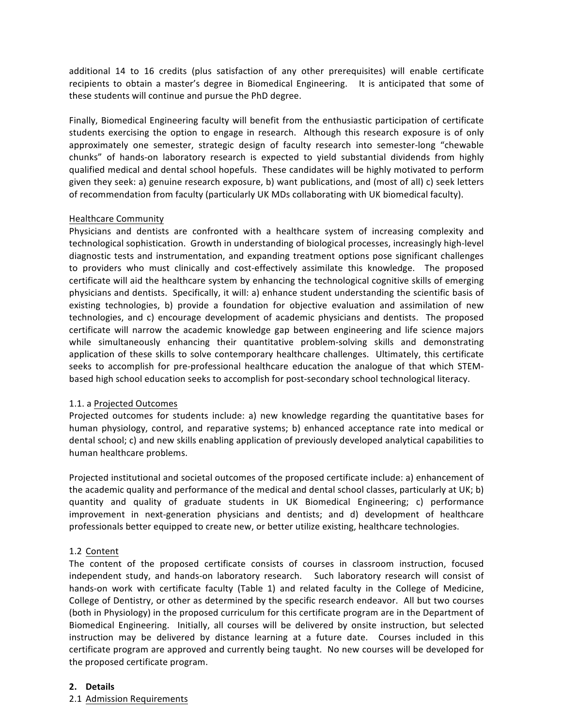additional 14 to 16 credits (plus satisfaction of any other prerequisites) will enable certificate recipients to obtain a master's degree in Biomedical Engineering. It is anticipated that some of these students will continue and pursue the PhD degree.

Finally, Biomedical Engineering faculty will benefit from the enthusiastic participation of certificate students exercising the option to engage in research. Although this research exposure is of only approximately one semester, strategic design of faculty research into semester-long "chewable chunks" of hands-on laboratory research is expected to yield substantial dividends from highly qualified medical and dental school hopefuls. These candidates will be highly motivated to perform given they seek: a) genuine research exposure, b) want publications, and (most of all) c) seek letters of recommendation from faculty (particularly UK MDs collaborating with UK biomedical faculty).

### Healthcare Community

Physicians and dentists are confronted with a healthcare system of increasing complexity and technological sophistication. Growth in understanding of biological processes, increasingly high-level diagnostic tests and instrumentation, and expanding treatment options pose significant challenges to providers who must clinically and cost-effectively assimilate this knowledge. The proposed certificate will aid the healthcare system by enhancing the technological cognitive skills of emerging physicians and dentists. Specifically, it will: a) enhance student understanding the scientific basis of existing technologies, b) provide a foundation for objective evaluation and assimilation of new technologies, and c) encourage development of academic physicians and dentists. The proposed certificate will narrow the academic knowledge gap between engineering and life science majors while simultaneously enhancing their quantitative problem-solving skills and demonstrating application of these skills to solve contemporary healthcare challenges. Ultimately, this certificate seeks to accomplish for pre-professional healthcare education the analogue of that which STEMbased high school education seeks to accomplish for post-secondary school technological literacy.

# 1.1. a Projected Outcomes

Projected outcomes for students include: a) new knowledge regarding the quantitative bases for human physiology, control, and reparative systems; b) enhanced acceptance rate into medical or dental school; c) and new skills enabling application of previously developed analytical capabilities to human healthcare problems.

Projected institutional and societal outcomes of the proposed certificate include: a) enhancement of the academic quality and performance of the medical and dental school classes, particularly at UK; b) quantity and quality of graduate students in UK Biomedical Engineering; c) performance improvement in next-generation physicians and dentists; and d) development of healthcare professionals better equipped to create new, or better utilize existing, healthcare technologies.

# 1.2 Content

The content of the proposed certificate consists of courses in classroom instruction, focused independent study, and hands-on laboratory research. Such laboratory research will consist of hands-on work with certificate faculty (Table 1) and related faculty in the College of Medicine, College of Dentistry, or other as determined by the specific research endeavor. All but two courses (both in Physiology) in the proposed curriculum for this certificate program are in the Department of Biomedical Engineering. Initially, all courses will be delivered by onsite instruction, but selected instruction may be delivered by distance learning at a future date. Courses included in this certificate program are approved and currently being taught. No new courses will be developed for the proposed certificate program.

# **2. Details**

2.1 Admission Requirements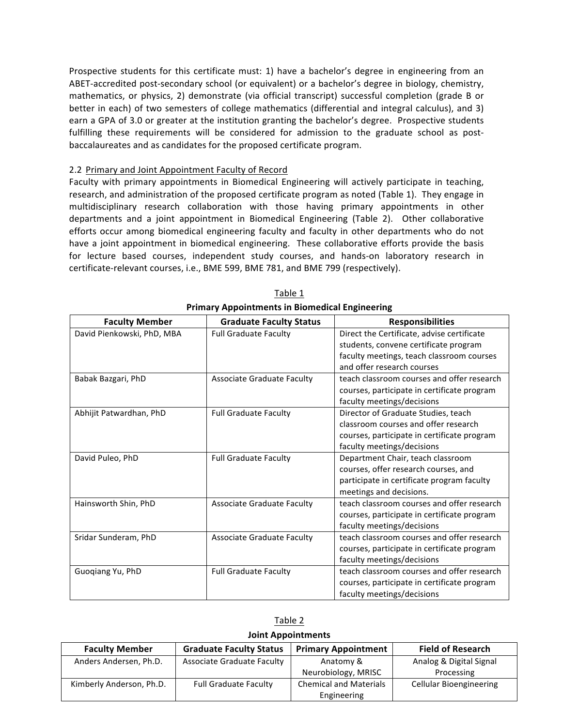Prospective students for this certificate must: 1) have a bachelor's degree in engineering from an ABET-accredited post-secondary school (or equivalent) or a bachelor's degree in biology, chemistry, mathematics, or physics, 2) demonstrate (via official transcript) successful completion (grade B or better in each) of two semesters of college mathematics (differential and integral calculus), and 3) earn a GPA of 3.0 or greater at the institution granting the bachelor's degree. Prospective students fulfilling these requirements will be considered for admission to the graduate school as postbaccalaureates and as candidates for the proposed certificate program.

#### 2.2 Primary and Joint Appointment Faculty of Record

Faculty with primary appointments in Biomedical Engineering will actively participate in teaching, research, and administration of the proposed certificate program as noted (Table 1). They engage in multidisciplinary research collaboration with those having primary appointments in other departments and a joint appointment in Biomedical Engineering (Table 2). Other collaborative efforts occur among biomedical engineering faculty and faculty in other departments who do not have a joint appointment in biomedical engineering. These collaborative efforts provide the basis for lecture based courses, independent study courses, and hands-on laboratory research in certificate-relevant courses, i.e., BME 599, BME 781, and BME 799 (respectively).

| <b>Faculty Member</b>      | <b>Graduate Faculty Status</b>    | <b>Responsibilities</b>                     |
|----------------------------|-----------------------------------|---------------------------------------------|
| David Pienkowski, PhD, MBA | <b>Full Graduate Faculty</b>      | Direct the Certificate, advise certificate  |
|                            |                                   | students, convene certificate program       |
|                            |                                   | faculty meetings, teach classroom courses   |
|                            |                                   | and offer research courses                  |
| Babak Bazgari, PhD         | <b>Associate Graduate Faculty</b> | teach classroom courses and offer research  |
|                            |                                   | courses, participate in certificate program |
|                            |                                   | faculty meetings/decisions                  |
| Abhijit Patwardhan, PhD    | <b>Full Graduate Faculty</b>      | Director of Graduate Studies, teach         |
|                            |                                   | classroom courses and offer research        |
|                            |                                   | courses, participate in certificate program |
|                            |                                   | faculty meetings/decisions                  |
| David Puleo, PhD           | <b>Full Graduate Faculty</b>      | Department Chair, teach classroom           |
|                            |                                   | courses, offer research courses, and        |
|                            |                                   | participate in certificate program faculty  |
|                            |                                   | meetings and decisions.                     |
| Hainsworth Shin, PhD       | <b>Associate Graduate Faculty</b> | teach classroom courses and offer research  |
|                            |                                   | courses, participate in certificate program |
|                            |                                   | faculty meetings/decisions                  |
| Sridar Sunderam, PhD       | Associate Graduate Faculty        | teach classroom courses and offer research  |
|                            |                                   | courses, participate in certificate program |
|                            |                                   | faculty meetings/decisions                  |
| Guogiang Yu, PhD           | <b>Full Graduate Faculty</b>      | teach classroom courses and offer research  |
|                            |                                   | courses, participate in certificate program |
|                            |                                   | faculty meetings/decisions                  |

Table 1 **Primary Appointments in Biomedical Engineering**

| JOINT Appointments                                                                                                |                                   |                               |                                |  |  |  |  |  |
|-------------------------------------------------------------------------------------------------------------------|-----------------------------------|-------------------------------|--------------------------------|--|--|--|--|--|
| <b>Graduate Faculty Status</b><br><b>Primary Appointment</b><br><b>Faculty Member</b><br><b>Field of Research</b> |                                   |                               |                                |  |  |  |  |  |
| Anders Andersen, Ph.D.                                                                                            | <b>Associate Graduate Faculty</b> | Anatomy &                     | Analog & Digital Signal        |  |  |  |  |  |
|                                                                                                                   |                                   | Neurobiology, MRISC           | Processing                     |  |  |  |  |  |
| Kimberly Anderson, Ph.D.                                                                                          | <b>Full Graduate Faculty</b>      | <b>Chemical and Materials</b> | <b>Cellular Bioengineering</b> |  |  |  |  |  |
|                                                                                                                   |                                   | Engineering                   |                                |  |  |  |  |  |

Table 2 **Joint Appointments**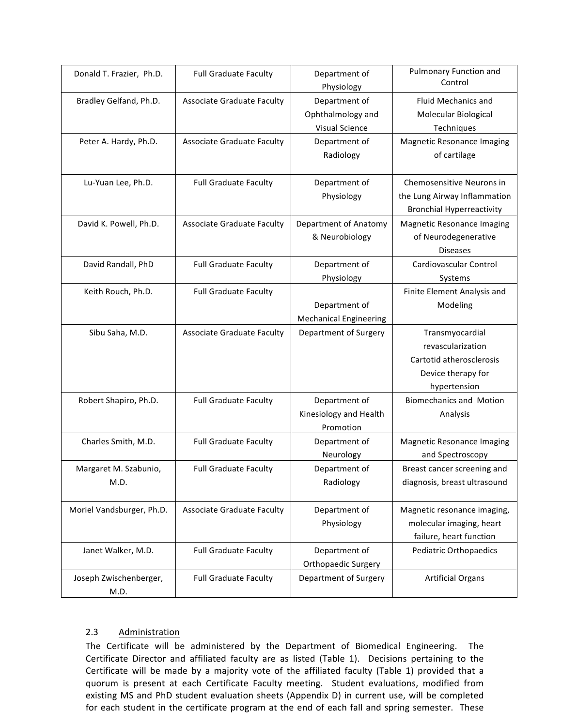| Donald T. Frazier, Ph.D.       | <b>Full Graduate Faculty</b>      | Department of<br>Physiology                                 | <b>Pulmonary Function and</b><br>Control                                                               |
|--------------------------------|-----------------------------------|-------------------------------------------------------------|--------------------------------------------------------------------------------------------------------|
| Bradley Gelfand, Ph.D.         | <b>Associate Graduate Faculty</b> | Department of<br>Ophthalmology and<br><b>Visual Science</b> | <b>Fluid Mechanics and</b><br>Molecular Biological<br>Techniques                                       |
| Peter A. Hardy, Ph.D.          | <b>Associate Graduate Faculty</b> | Department of<br>Radiology                                  | <b>Magnetic Resonance Imaging</b><br>of cartilage                                                      |
| Lu-Yuan Lee, Ph.D.             | <b>Full Graduate Faculty</b>      | Department of<br>Physiology                                 | Chemosensitive Neurons in<br>the Lung Airway Inflammation<br><b>Bronchial Hyperreactivity</b>          |
| David K. Powell, Ph.D.         | Associate Graduate Faculty        | Department of Anatomy<br>& Neurobiology                     | <b>Magnetic Resonance Imaging</b><br>of Neurodegenerative<br><b>Diseases</b>                           |
| David Randall, PhD             | <b>Full Graduate Faculty</b>      | Department of<br>Physiology                                 | Cardiovascular Control<br>Systems                                                                      |
| Keith Rouch, Ph.D.             | <b>Full Graduate Faculty</b>      | Department of<br><b>Mechanical Engineering</b>              | Finite Element Analysis and<br>Modeling                                                                |
| Sibu Saha, M.D.                | <b>Associate Graduate Faculty</b> | Department of Surgery                                       | Transmyocardial<br>revascularization<br>Cartotid atherosclerosis<br>Device therapy for<br>hypertension |
| Robert Shapiro, Ph.D.          | <b>Full Graduate Faculty</b>      | Department of<br>Kinesiology and Health<br>Promotion        | <b>Biomechanics and Motion</b><br>Analysis                                                             |
| Charles Smith, M.D.            | <b>Full Graduate Faculty</b>      | Department of<br>Neurology                                  | <b>Magnetic Resonance Imaging</b><br>and Spectroscopy                                                  |
| Margaret M. Szabunio,<br>M.D.  | <b>Full Graduate Faculty</b>      | Department of<br>Radiology                                  | Breast cancer screening and<br>diagnosis, breast ultrasound                                            |
| Moriel Vandsburger, Ph.D.      | <b>Associate Graduate Faculty</b> | Department of<br>Physiology                                 | Magnetic resonance imaging,<br>molecular imaging, heart<br>failure, heart function                     |
| Janet Walker, M.D.             | <b>Full Graduate Faculty</b>      | Department of<br>Orthopaedic Surgery                        | Pediatric Orthopaedics                                                                                 |
| Joseph Zwischenberger,<br>M.D. | <b>Full Graduate Faculty</b>      | Department of Surgery                                       | <b>Artificial Organs</b>                                                                               |

# 2.3 Administration

The Certificate will be administered by the Department of Biomedical Engineering. The Certificate Director and affiliated faculty are as listed (Table 1). Decisions pertaining to the Certificate will be made by a majority vote of the affiliated faculty (Table 1) provided that a quorum is present at each Certificate Faculty meeting. Student evaluations, modified from existing MS and PhD student evaluation sheets (Appendix D) in current use, will be completed for each student in the certificate program at the end of each fall and spring semester. These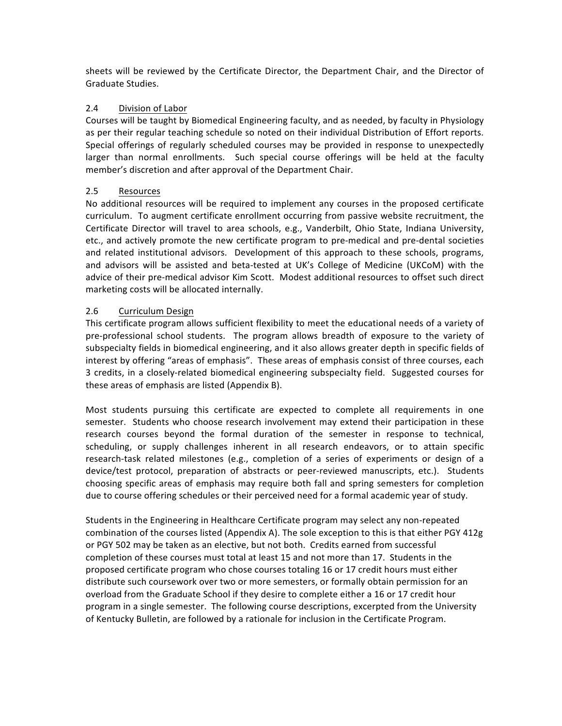sheets will be reviewed by the Certificate Director, the Department Chair, and the Director of Graduate Studies.

# 2.4 Division of Labor

Courses will be taught by Biomedical Engineering faculty, and as needed, by faculty in Physiology as per their regular teaching schedule so noted on their individual Distribution of Effort reports. Special offerings of regularly scheduled courses may be provided in response to unexpectedly larger than normal enrollments. Such special course offerings will be held at the faculty member's discretion and after approval of the Department Chair.

# 2.5 Resources

No additional resources will be required to implement any courses in the proposed certificate curriculum. To augment certificate enrollment occurring from passive website recruitment, the Certificate Director will travel to area schools, e.g., Vanderbilt, Ohio State, Indiana University, etc., and actively promote the new certificate program to pre-medical and pre-dental societies and related institutional advisors. Development of this approach to these schools, programs, and advisors will be assisted and beta-tested at UK's College of Medicine (UKCoM) with the advice of their pre-medical advisor Kim Scott. Modest additional resources to offset such direct marketing costs will be allocated internally.

# 2.6 Curriculum Design

This certificate program allows sufficient flexibility to meet the educational needs of a variety of pre-professional school students. The program allows breadth of exposure to the variety of subspecialty fields in biomedical engineering, and it also allows greater depth in specific fields of interest by offering "areas of emphasis". These areas of emphasis consist of three courses, each 3 credits, in a closely-related biomedical engineering subspecialty field. Suggested courses for these areas of emphasis are listed (Appendix B).

Most students pursuing this certificate are expected to complete all requirements in one semester. Students who choose research involvement may extend their participation in these research courses beyond the formal duration of the semester in response to technical, scheduling, or supply challenges inherent in all research endeavors, or to attain specific research-task related milestones (e.g., completion of a series of experiments or design of a device/test protocol, preparation of abstracts or peer-reviewed manuscripts, etc.). Students choosing specific areas of emphasis may require both fall and spring semesters for completion due to course offering schedules or their perceived need for a formal academic year of study.

Students in the Engineering in Healthcare Certificate program may select any non-repeated combination of the courses listed (Appendix A). The sole exception to this is that either PGY 412g or PGY 502 may be taken as an elective, but not both. Credits earned from successful completion of these courses must total at least 15 and not more than 17. Students in the proposed certificate program who chose courses totaling 16 or 17 credit hours must either distribute such coursework over two or more semesters, or formally obtain permission for an overload from the Graduate School if they desire to complete either a 16 or 17 credit hour program in a single semester. The following course descriptions, excerpted from the University of Kentucky Bulletin, are followed by a rationale for inclusion in the Certificate Program.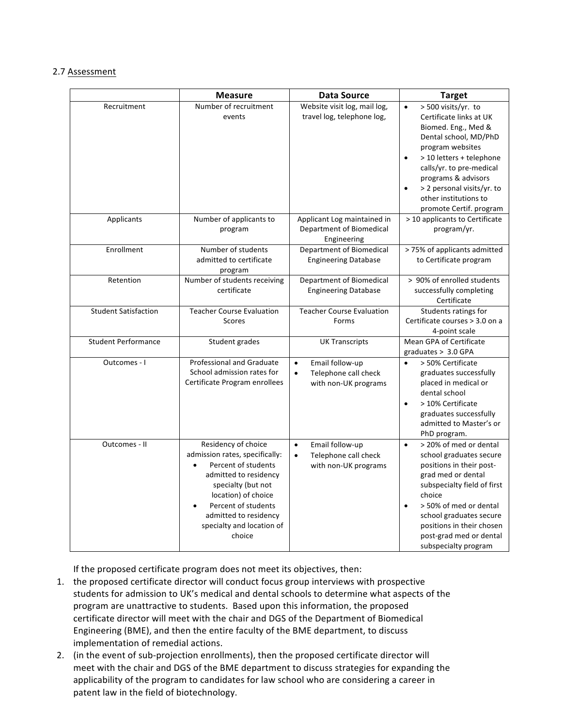# 2.7 Assessment

|                             | <b>Measure</b>                                                                                                                                                                                                                                         | <b>Data Source</b>                                                                        | <b>Target</b>                                                                                                                                                                                                                                                                                                              |
|-----------------------------|--------------------------------------------------------------------------------------------------------------------------------------------------------------------------------------------------------------------------------------------------------|-------------------------------------------------------------------------------------------|----------------------------------------------------------------------------------------------------------------------------------------------------------------------------------------------------------------------------------------------------------------------------------------------------------------------------|
| Recruitment                 | Number of recruitment<br>events                                                                                                                                                                                                                        | Website visit log, mail log,<br>travel log, telephone log,                                | > 500 visits/yr. to<br>$\bullet$<br>Certificate links at UK<br>Biomed. Eng., Med &<br>Dental school, MD/PhD<br>program websites<br>> 10 letters + telephone<br>$\bullet$<br>calls/yr. to pre-medical<br>programs & advisors<br>> 2 personal visits/yr. to<br>$\bullet$<br>other institutions to<br>promote Certif. program |
| Applicants                  | Number of applicants to<br>program                                                                                                                                                                                                                     | Applicant Log maintained in<br>Department of Biomedical<br>Engineering                    | > 10 applicants to Certificate<br>program/yr.                                                                                                                                                                                                                                                                              |
| Enrollment                  | Number of students<br>admitted to certificate<br>program                                                                                                                                                                                               | Department of Biomedical<br><b>Engineering Database</b>                                   | > 75% of applicants admitted<br>to Certificate program                                                                                                                                                                                                                                                                     |
| Retention                   | Number of students receiving<br>certificate                                                                                                                                                                                                            | Department of Biomedical<br><b>Engineering Database</b>                                   | > 90% of enrolled students<br>successfully completing<br>Certificate                                                                                                                                                                                                                                                       |
| <b>Student Satisfaction</b> | <b>Teacher Course Evaluation</b><br>Scores                                                                                                                                                                                                             | <b>Teacher Course Evaluation</b><br>Forms                                                 | Students ratings for<br>Certificate courses > 3.0 on a<br>4-point scale                                                                                                                                                                                                                                                    |
| <b>Student Performance</b>  | Student grades                                                                                                                                                                                                                                         | <b>UK Transcripts</b>                                                                     | Mean GPA of Certificate<br>graduates > 3.0 GPA                                                                                                                                                                                                                                                                             |
| Outcomes - I                | <b>Professional and Graduate</b><br>School admission rates for<br>Certificate Program enrollees                                                                                                                                                        | Email follow-up<br>$\bullet$<br>Telephone call check<br>$\bullet$<br>with non-UK programs | > 50% Certificate<br>$\bullet$<br>graduates successfully<br>placed in medical or<br>dental school<br>> 10% Certificate<br>$\bullet$<br>graduates successfully<br>admitted to Master's or<br>PhD program.                                                                                                                   |
| Outcomes - II               | Residency of choice<br>admission rates, specifically:<br>Percent of students<br>$\bullet$<br>admitted to residency<br>specialty (but not<br>location) of choice<br>Percent of students<br>admitted to residency<br>specialty and location of<br>choice | Email follow-up<br>$\bullet$<br>Telephone call check<br>$\bullet$<br>with non-UK programs | > 20% of med or dental<br>$\bullet$<br>school graduates secure<br>positions in their post-<br>grad med or dental<br>subspecialty field of first<br>choice<br>> 50% of med or dental<br>$\bullet$<br>school graduates secure<br>positions in their chosen<br>post-grad med or dental<br>subspecialty program                |

If the proposed certificate program does not meet its objectives, then:

- 1. the proposed certificate director will conduct focus group interviews with prospective students for admission to UK's medical and dental schools to determine what aspects of the program are unattractive to students. Based upon this information, the proposed certificate director will meet with the chair and DGS of the Department of Biomedical Engineering (BME), and then the entire faculty of the BME department, to discuss implementation of remedial actions.
- 2. (in the event of sub-projection enrollments), then the proposed certificate director will meet with the chair and DGS of the BME department to discuss strategies for expanding the applicability of the program to candidates for law school who are considering a career in patent law in the field of biotechnology.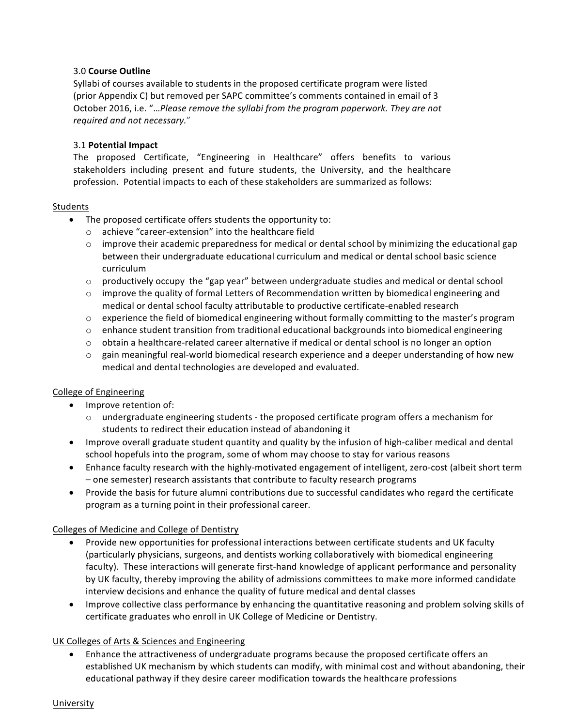# 3.0 **Course Outline**

Syllabi of courses available to students in the proposed certificate program were listed (prior Appendix C) but removed per SAPC committee's comments contained in email of 3 October 2016, i.e. "...Please remove the syllabi from the program paperwork. They are not *required and not necessary.*"

# 3.1 **Potential Impact**

The proposed Certificate, "Engineering in Healthcare" offers benefits to various stakeholders including present and future students, the University, and the healthcare profession. Potential impacts to each of these stakeholders are summarized as follows:

# Students

- $\bullet$  The proposed certificate offers students the opportunity to:
	- o achieve "career-extension" into the healthcare field
	- $\circ$  improve their academic preparedness for medical or dental school by minimizing the educational gap between their undergraduate educational curriculum and medical or dental school basic science curriculum
	- $\circ$  productively occupy the "gap year" between undergraduate studies and medical or dental school
	- $\circ$  improve the quality of formal Letters of Recommendation written by biomedical engineering and medical or dental school faculty attributable to productive certificate-enabled research
	- $\circ$  experience the field of biomedical engineering without formally committing to the master's program
	- $\circ$  enhance student transition from traditional educational backgrounds into biomedical engineering
	- $\circ$  obtain a healthcare-related career alternative if medical or dental school is no longer an option
	- $\circ$  gain meaningful real-world biomedical research experience and a deeper understanding of how new medical and dental technologies are developed and evaluated.

# College of Engineering

- Improve retention of:
	- $\circ$  undergraduate engineering students the proposed certificate program offers a mechanism for students to redirect their education instead of abandoning it
- Improve overall graduate student quantity and quality by the infusion of high-caliber medical and dental school hopefuls into the program, some of whom may choose to stay for various reasons
- Enhance faculty research with the highly-motivated engagement of intelligent, zero-cost (albeit short term - one semester) research assistants that contribute to faculty research programs
- Provide the basis for future alumni contributions due to successful candidates who regard the certificate program as a turning point in their professional career.

# Colleges of Medicine and College of Dentistry

- Provide new opportunities for professional interactions between certificate students and UK faculty (particularly physicians, surgeons, and dentists working collaboratively with biomedical engineering faculty). These interactions will generate first-hand knowledge of applicant performance and personality by UK faculty, thereby improving the ability of admissions committees to make more informed candidate interview decisions and enhance the quality of future medical and dental classes
- Improve collective class performance by enhancing the quantitative reasoning and problem solving skills of certificate graduates who enroll in UK College of Medicine or Dentistry.

# UK Colleges of Arts & Sciences and Engineering

• Enhance the attractiveness of undergraduate programs because the proposed certificate offers an established UK mechanism by which students can modify, with minimal cost and without abandoning, their educational pathway if they desire career modification towards the healthcare professions

#### University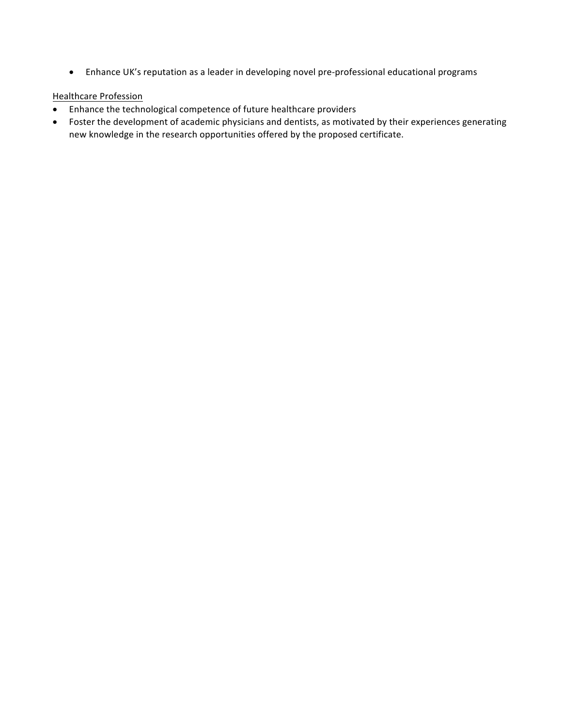• Enhance UK's reputation as a leader in developing novel pre-professional educational programs

# **Healthcare Profession**

- Enhance the technological competence of future healthcare providers
- Foster the development of academic physicians and dentists, as motivated by their experiences generating new knowledge in the research opportunities offered by the proposed certificate.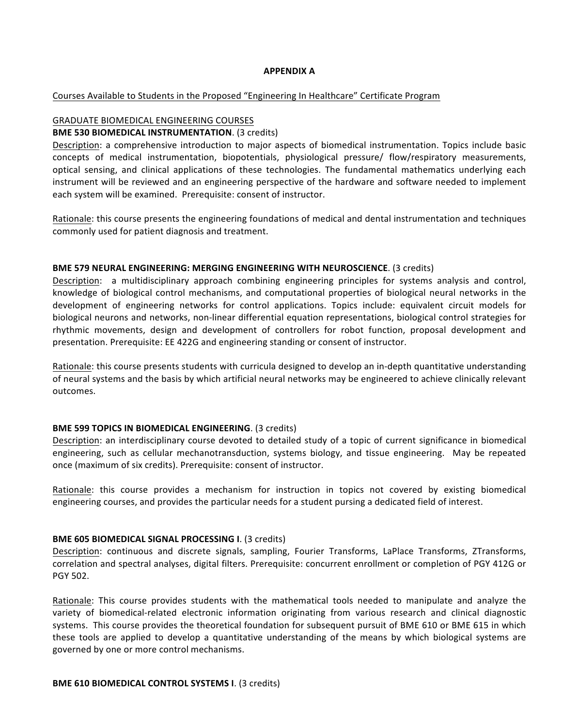#### **APPENDIX A**

### Courses Available to Students in the Proposed "Engineering In Healthcare" Certificate Program

# **GRADUATE BIOMEDICAL ENGINEERING COURSES**

#### **BME 530 BIOMEDICAL INSTRUMENTATION.** (3 credits)

Description: a comprehensive introduction to major aspects of biomedical instrumentation. Topics include basic concepts of medical instrumentation, biopotentials, physiological pressure/ flow/respiratory measurements, optical sensing, and clinical applications of these technologies. The fundamental mathematics underlying each instrument will be reviewed and an engineering perspective of the hardware and software needed to implement each system will be examined. Prerequisite: consent of instructor.

Rationale: this course presents the engineering foundations of medical and dental instrumentation and techniques commonly used for patient diagnosis and treatment.

#### **BME 579 NEURAL ENGINEERING: MERGING ENGINEERING WITH NEUROSCIENCE.** (3 credits)

Description: a multidisciplinary approach combining engineering principles for systems analysis and control, knowledge of biological control mechanisms, and computational properties of biological neural networks in the development of engineering networks for control applications. Topics include: equivalent circuit models for biological neurons and networks, non-linear differential equation representations, biological control strategies for rhythmic movements, design and development of controllers for robot function, proposal development and presentation. Prerequisite: EE 422G and engineering standing or consent of instructor.

Rationale: this course presents students with curricula designed to develop an in-depth quantitative understanding of neural systems and the basis by which artificial neural networks may be engineered to achieve clinically relevant outcomes.

#### **BME 599 TOPICS IN BIOMEDICAL ENGINEERING.** (3 credits)

Description: an interdisciplinary course devoted to detailed study of a topic of current significance in biomedical engineering, such as cellular mechanotransduction, systems biology, and tissue engineering. May be repeated once (maximum of six credits). Prerequisite: consent of instructor.

Rationale: this course provides a mechanism for instruction in topics not covered by existing biomedical engineering courses, and provides the particular needs for a student pursing a dedicated field of interest.

#### **BME 605 BIOMEDICAL SIGNAL PROCESSING I. (3 credits)**

Description: continuous and discrete signals, sampling, Fourier Transforms, LaPlace Transforms, ZTransforms, correlation and spectral analyses, digital filters. Prerequisite: concurrent enrollment or completion of PGY 412G or PGY 502.

Rationale: This course provides students with the mathematical tools needed to manipulate and analyze the variety of biomedical-related electronic information originating from various research and clinical diagnostic systems. This course provides the theoretical foundation for subsequent pursuit of BME 610 or BME 615 in which these tools are applied to develop a quantitative understanding of the means by which biological systems are governed by one or more control mechanisms.

#### **BME 610 BIOMEDICAL CONTROL SYSTEMS I. (3 credits)**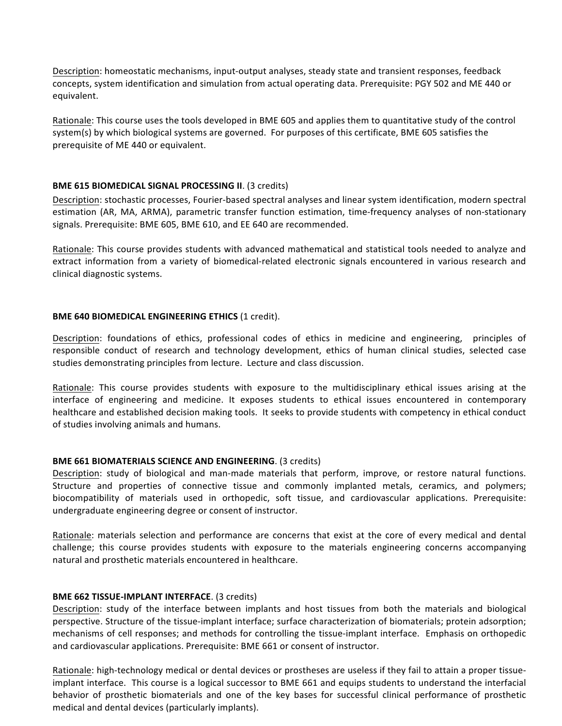Description: homeostatic mechanisms, input-output analyses, steady state and transient responses, feedback concepts, system identification and simulation from actual operating data. Prerequisite: PGY 502 and ME 440 or equivalent.

Rationale: This course uses the tools developed in BME 605 and applies them to quantitative study of the control system(s) by which biological systems are governed. For purposes of this certificate, BME 605 satisfies the prerequisite of ME 440 or equivalent.

# **BME 615 BIOMEDICAL SIGNAL PROCESSING II. (3 credits)**

Description: stochastic processes, Fourier-based spectral analyses and linear system identification, modern spectral estimation (AR, MA, ARMA), parametric transfer function estimation, time-frequency analyses of non-stationary signals. Prerequisite: BME 605, BME 610, and EE 640 are recommended.

Rationale: This course provides students with advanced mathematical and statistical tools needed to analyze and extract information from a variety of biomedical-related electronic signals encountered in various research and clinical diagnostic systems.

# **BME 640 BIOMEDICAL ENGINEERING ETHICS (1 credit).**

Description: foundations of ethics, professional codes of ethics in medicine and engineering, principles of responsible conduct of research and technology development, ethics of human clinical studies, selected case studies demonstrating principles from lecture. Lecture and class discussion.

Rationale: This course provides students with exposure to the multidisciplinary ethical issues arising at the interface of engineering and medicine. It exposes students to ethical issues encountered in contemporary healthcare and established decision making tools. It seeks to provide students with competency in ethical conduct of studies involving animals and humans.

# **BME 661 BIOMATERIALS SCIENCE AND ENGINEERING.** (3 credits)

Description: study of biological and man-made materials that perform, improve, or restore natural functions. Structure and properties of connective tissue and commonly implanted metals, ceramics, and polymers; biocompatibility of materials used in orthopedic, soft tissue, and cardiovascular applications. Prerequisite: undergraduate engineering degree or consent of instructor.

Rationale: materials selection and performance are concerns that exist at the core of every medical and dental challenge; this course provides students with exposure to the materials engineering concerns accompanying natural and prosthetic materials encountered in healthcare.

#### **BME 662 TISSUE-IMPLANT INTERFACE.** (3 credits)

Description: study of the interface between implants and host tissues from both the materials and biological perspective. Structure of the tissue-implant interface; surface characterization of biomaterials; protein adsorption; mechanisms of cell responses; and methods for controlling the tissue-implant interface. Emphasis on orthopedic and cardiovascular applications. Prerequisite: BME 661 or consent of instructor.

Rationale: high-technology medical or dental devices or prostheses are useless if they fail to attain a proper tissueimplant interface. This course is a logical successor to BME 661 and equips students to understand the interfacial behavior of prosthetic biomaterials and one of the key bases for successful clinical performance of prosthetic medical and dental devices (particularly implants).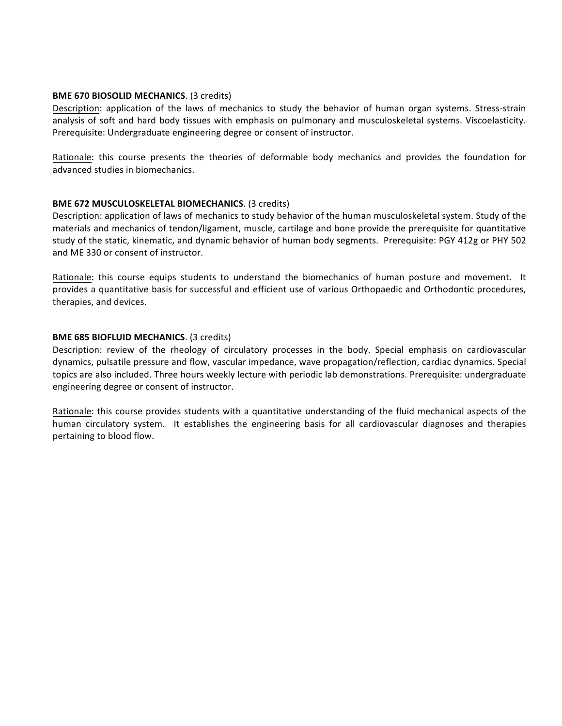### **BME 670 BIOSOLID MECHANICS**. (3 credits)

Description: application of the laws of mechanics to study the behavior of human organ systems. Stress-strain analysis of soft and hard body tissues with emphasis on pulmonary and musculoskeletal systems. Viscoelasticity. Prerequisite: Undergraduate engineering degree or consent of instructor.

Rationale: this course presents the theories of deformable body mechanics and provides the foundation for advanced studies in biomechanics.

# **BME 672 MUSCULOSKELETAL BIOMECHANICS.** (3 credits)

Description: application of laws of mechanics to study behavior of the human musculoskeletal system. Study of the materials and mechanics of tendon/ligament, muscle, cartilage and bone provide the prerequisite for quantitative study of the static, kinematic, and dynamic behavior of human body segments. Prerequisite: PGY 412g or PHY 502 and ME 330 or consent of instructor.

Rationale: this course equips students to understand the biomechanics of human posture and movement. It provides a quantitative basis for successful and efficient use of various Orthopaedic and Orthodontic procedures, therapies, and devices.

### **BME 685 BIOFLUID MECHANICS**. (3 credits)

Description: review of the rheology of circulatory processes in the body. Special emphasis on cardiovascular dynamics, pulsatile pressure and flow, vascular impedance, wave propagation/reflection, cardiac dynamics. Special topics are also included. Three hours weekly lecture with periodic lab demonstrations. Prerequisite: undergraduate engineering degree or consent of instructor.

Rationale: this course provides students with a quantitative understanding of the fluid mechanical aspects of the human circulatory system. It establishes the engineering basis for all cardiovascular diagnoses and therapies pertaining to blood flow.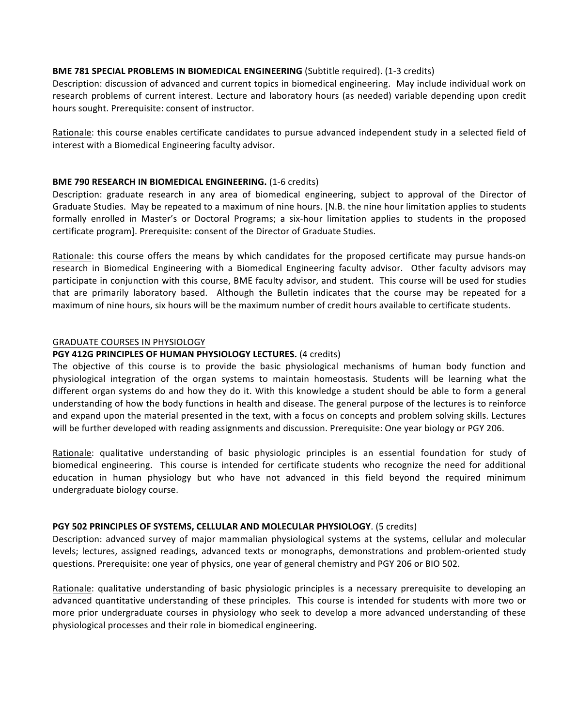### **BME 781 SPECIAL PROBLEMS IN BIOMEDICAL ENGINEERING** (Subtitle required). (1-3 credits)

Description: discussion of advanced and current topics in biomedical engineering. May include individual work on research problems of current interest. Lecture and laboratory hours (as needed) variable depending upon credit hours sought. Prerequisite: consent of instructor.

Rationale: this course enables certificate candidates to pursue advanced independent study in a selected field of interest with a Biomedical Engineering faculty advisor.

# **BME 790 RESEARCH IN BIOMEDICAL ENGINEERING.** (1-6 credits)

Description: graduate research in any area of biomedical engineering, subject to approval of the Director of Graduate Studies. May be repeated to a maximum of nine hours. [N.B. the nine hour limitation applies to students formally enrolled in Master's or Doctoral Programs; a six-hour limitation applies to students in the proposed certificate program]. Prerequisite: consent of the Director of Graduate Studies.

Rationale: this course offers the means by which candidates for the proposed certificate may pursue hands-on research in Biomedical Engineering with a Biomedical Engineering faculty advisor. Other faculty advisors may participate in conjunction with this course, BME faculty advisor, and student. This course will be used for studies that are primarily laboratory based. Although the Bulletin indicates that the course may be repeated for a maximum of nine hours, six hours will be the maximum number of credit hours available to certificate students.

# **GRADUATE COURSES IN PHYSIOLOGY**

# **PGY 412G PRINCIPLES OF HUMAN PHYSIOLOGY LECTURES.** (4 credits)

The objective of this course is to provide the basic physiological mechanisms of human body function and physiological integration of the organ systems to maintain homeostasis. Students will be learning what the different organ systems do and how they do it. With this knowledge a student should be able to form a general understanding of how the body functions in health and disease. The general purpose of the lectures is to reinforce and expand upon the material presented in the text, with a focus on concepts and problem solving skills. Lectures will be further developed with reading assignments and discussion. Prerequisite: One year biology or PGY 206.

Rationale: qualitative understanding of basic physiologic principles is an essential foundation for study of biomedical engineering. This course is intended for certificate students who recognize the need for additional education in human physiology but who have not advanced in this field beyond the required minimum undergraduate biology course.

# **PGY 502 PRINCIPLES OF SYSTEMS, CELLULAR AND MOLECULAR PHYSIOLOGY.** (5 credits)

Description: advanced survey of major mammalian physiological systems at the systems, cellular and molecular levels; lectures, assigned readings, advanced texts or monographs, demonstrations and problem-oriented study questions. Prerequisite: one year of physics, one year of general chemistry and PGY 206 or BIO 502.

Rationale: qualitative understanding of basic physiologic principles is a necessary prerequisite to developing an advanced quantitative understanding of these principles. This course is intended for students with more two or more prior undergraduate courses in physiology who seek to develop a more advanced understanding of these physiological processes and their role in biomedical engineering.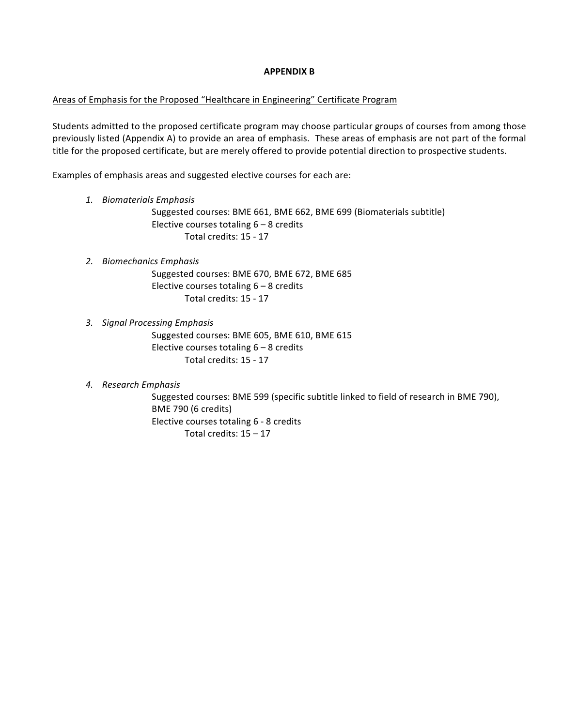#### **APPENDIX B**

# Areas of Emphasis for the Proposed "Healthcare in Engineering" Certificate Program

Students admitted to the proposed certificate program may choose particular groups of courses from among those previously listed (Appendix A) to provide an area of emphasis. These areas of emphasis are not part of the formal title for the proposed certificate, but are merely offered to provide potential direction to prospective students.

Examples of emphasis areas and suggested elective courses for each are:

### *1. Biomaterials Emphasis*

Suggested courses: BME 661, BME 662, BME 699 (Biomaterials subtitle) Elective courses totaling  $6 - 8$  credits Total credits: 15 - 17

### *2. Biomechanics Emphasis*

Suggested courses: BME 670, BME 672, BME 685 Elective courses totaling  $6 - 8$  credits Total credits: 15 - 17

# *3. Signal Processing Emphasis*

Suggested courses: BME 605, BME 610, BME 615 Elective courses totaling  $6 - 8$  credits Total credits: 15 - 17

# *4. Research Emphasis*

Suggested courses: BME 599 (specific subtitle linked to field of research in BME 790), BME 790 (6 credits) Elective courses totaling 6 - 8 credits Total credits:  $15 - 17$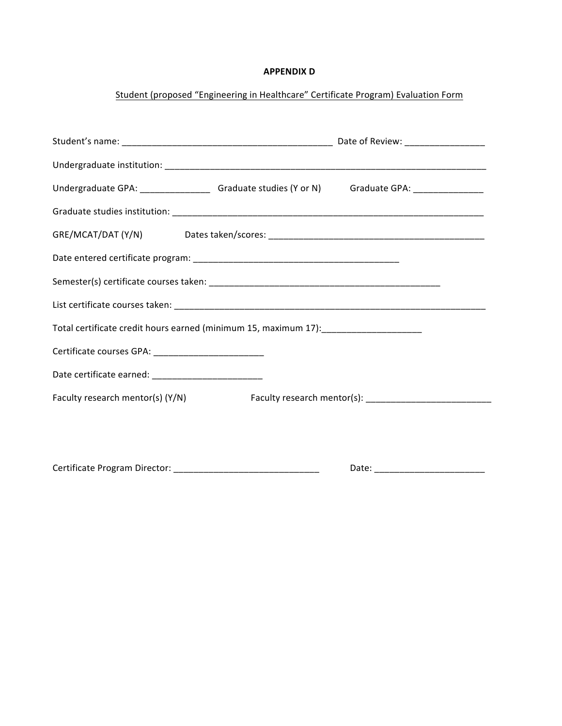# **APPENDIX D**

# Student (proposed "Engineering in Healthcare" Certificate Program) Evaluation Form

| Undergraduate GPA: ___________________ Graduate studies (Y or N) Graduate GPA: _______________ |  |
|------------------------------------------------------------------------------------------------|--|
|                                                                                                |  |
|                                                                                                |  |
|                                                                                                |  |
|                                                                                                |  |
|                                                                                                |  |
| Total certificate credit hours earned (minimum 15, maximum 17): ______________________         |  |
| Certificate courses GPA: _____________________________                                         |  |
| Date certificate earned: _________________________                                             |  |
| Faculty research mentor(s) (Y/N) Faculty research mentor(s): ____________________              |  |
|                                                                                                |  |
|                                                                                                |  |
|                                                                                                |  |